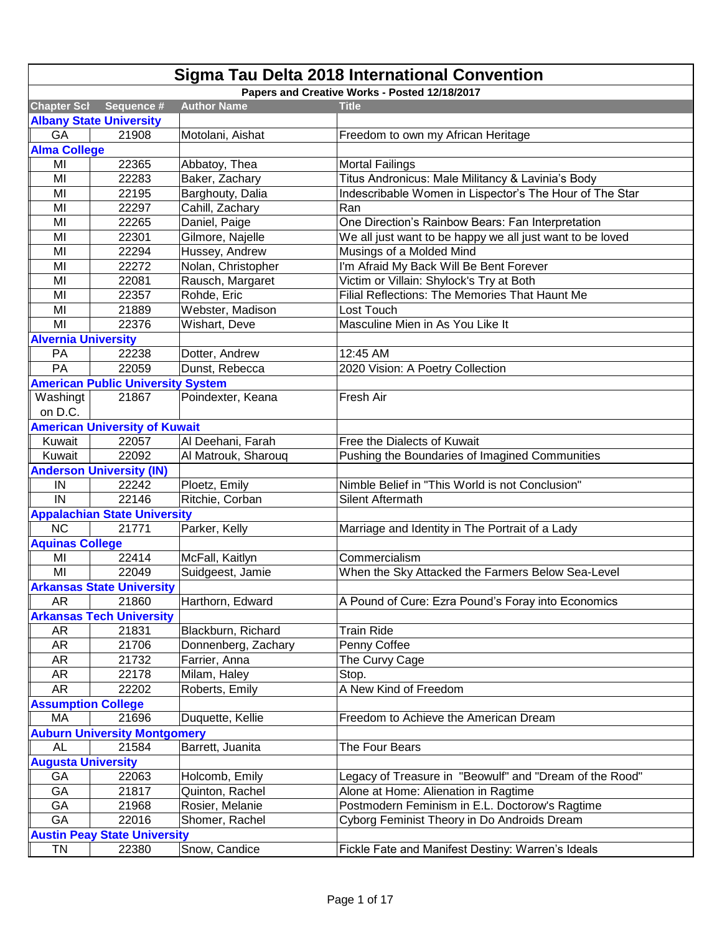| <b>Sigma Tau Delta 2018 International Convention</b> |                                              |                     |                                                           |  |
|------------------------------------------------------|----------------------------------------------|---------------------|-----------------------------------------------------------|--|
|                                                      |                                              |                     | Papers and Creative Works - Posted 12/18/2017             |  |
| <b>Chapter Scl</b>                                   | Sequence #                                   | <b>Author Name</b>  | <b>Title</b>                                              |  |
|                                                      | <b>Albany State University</b>               |                     |                                                           |  |
| GA                                                   | 21908                                        | Motolani, Aishat    | Freedom to own my African Heritage                        |  |
| <b>Alma College</b>                                  |                                              |                     |                                                           |  |
| MI                                                   | 22365                                        | Abbatoy, Thea       | <b>Mortal Failings</b>                                    |  |
| MI                                                   | 22283                                        | Baker, Zachary      | Titus Andronicus: Male Militancy & Lavinia's Body         |  |
| MI                                                   | 22195                                        | Barghouty, Dalia    | Indescribable Women in Lispector's The Hour of The Star   |  |
| MI                                                   | 22297                                        | Cahill, Zachary     | Ran                                                       |  |
| MI                                                   | 22265                                        | Daniel, Paige       | One Direction's Rainbow Bears: Fan Interpretation         |  |
| MI                                                   | 22301                                        | Gilmore, Najelle    | We all just want to be happy we all just want to be loved |  |
| MI                                                   | 22294                                        | Hussey, Andrew      | Musings of a Molded Mind                                  |  |
| MI                                                   | 22272                                        | Nolan, Christopher  | I'm Afraid My Back Will Be Bent Forever                   |  |
| MI                                                   | 22081                                        | Rausch, Margaret    | Victim or Villain: Shylock's Try at Both                  |  |
| MI                                                   | 22357                                        | Rohde, Eric         | Filial Reflections: The Memories That Haunt Me            |  |
| MI                                                   | 21889                                        | Webster, Madison    | Lost Touch                                                |  |
| MI                                                   | 22376                                        | Wishart, Deve       | Masculine Mien in As You Like It                          |  |
| <b>Alvernia University</b>                           |                                              |                     |                                                           |  |
| PA                                                   | 22238                                        | Dotter, Andrew      | 12:45 AM                                                  |  |
| PA                                                   | 22059                                        | Dunst, Rebecca      | 2020 Vision: A Poetry Collection                          |  |
|                                                      | <b>American Public University System</b>     |                     |                                                           |  |
| Washingt                                             | 21867                                        | Poindexter, Keana   | Fresh Air                                                 |  |
| on D.C.                                              |                                              |                     |                                                           |  |
|                                                      | <b>American University of Kuwait</b>         |                     |                                                           |  |
| Kuwait                                               | 22057                                        | Al Deehani, Farah   | Free the Dialects of Kuwait                               |  |
| Kuwait                                               | 22092                                        | Al Matrouk, Sharouq | Pushing the Boundaries of Imagined Communities            |  |
|                                                      | <b>Anderson University (IN)</b>              |                     |                                                           |  |
| IN                                                   | 22242                                        | Ploetz, Emily       | Nimble Belief in "This World is not Conclusion"           |  |
| IN                                                   | 22146                                        | Ritchie, Corban     | Silent Aftermath                                          |  |
|                                                      |                                              |                     |                                                           |  |
| <b>NC</b>                                            | <b>Appalachian State University</b><br>21771 | Parker, Kelly       | Marriage and Identity in The Portrait of a Lady           |  |
| <b>Aquinas College</b>                               |                                              |                     |                                                           |  |
| MI                                                   | 22414                                        | McFall, Kaitlyn     | Commercialism                                             |  |
| MI                                                   | 22049                                        | Suidgeest, Jamie    | When the Sky Attacked the Farmers Below Sea-Level         |  |
|                                                      |                                              |                     |                                                           |  |
| <b>AR</b>                                            | <b>Arkansas State University</b><br>21860    | Harthorn, Edward    | A Pound of Cure: Ezra Pound's Foray into Economics        |  |
|                                                      |                                              |                     |                                                           |  |
| <b>AR</b>                                            | <b>Arkansas Tech University</b><br>21831     | Blackburn, Richard  | <b>Train Ride</b>                                         |  |
| <b>AR</b>                                            | 21706                                        |                     |                                                           |  |
| <b>AR</b>                                            | 21732                                        | Donnenberg, Zachary | Penny Coffee                                              |  |
| <b>AR</b>                                            | 22178                                        | Farrier, Anna       | The Curvy Cage                                            |  |
| <b>AR</b>                                            | 22202                                        | Milam, Haley        | Stop.<br>A New Kind of Freedom                            |  |
|                                                      |                                              | Roberts, Emily      |                                                           |  |
| <b>Assumption College</b>                            |                                              |                     |                                                           |  |
| MA                                                   | 21696                                        | Duquette, Kellie    | Freedom to Achieve the American Dream                     |  |
|                                                      | <b>Auburn University Montgomery</b>          |                     |                                                           |  |
| <b>AL</b>                                            | 21584                                        | Barrett, Juanita    | The Four Bears                                            |  |
| <b>Augusta University</b>                            |                                              |                     |                                                           |  |
| GA                                                   | 22063                                        | Holcomb, Emily      | Legacy of Treasure in "Beowulf" and "Dream of the Rood"   |  |
| GA                                                   | 21817                                        | Quinton, Rachel     | Alone at Home: Alienation in Ragtime                      |  |
| GA                                                   | 21968                                        | Rosier, Melanie     | Postmodern Feminism in E.L. Doctorow's Ragtime            |  |
| GA                                                   | 22016                                        | Shomer, Rachel      | Cyborg Feminist Theory in Do Androids Dream               |  |
|                                                      | <b>Austin Peay State University</b>          |                     |                                                           |  |
| TN                                                   | 22380                                        | Snow, Candice       | Fickle Fate and Manifest Destiny: Warren's Ideals         |  |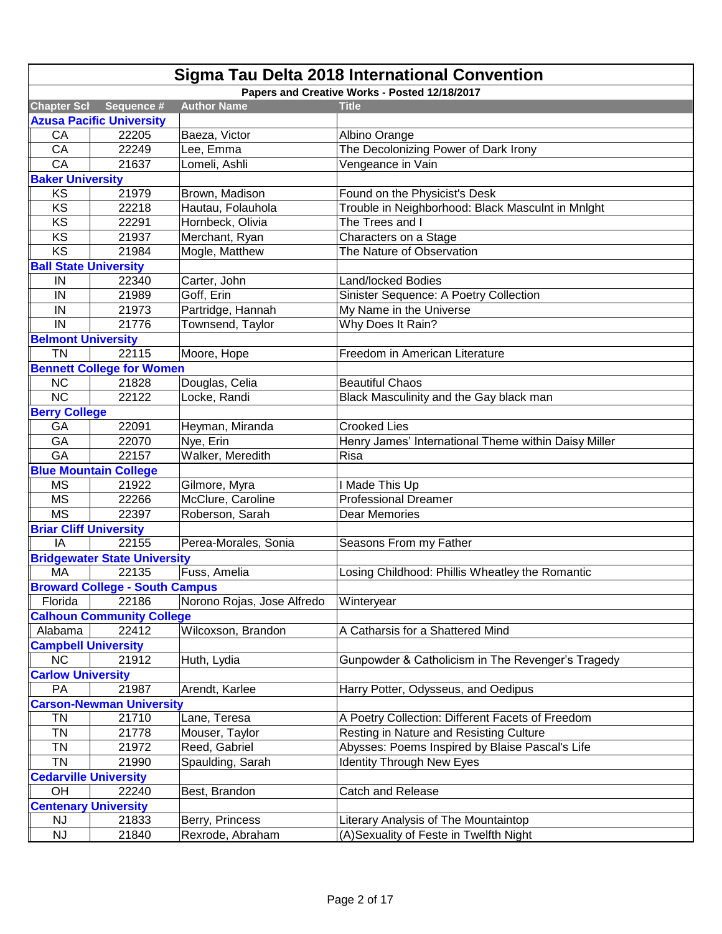|                               | Sigma Tau Delta 2018 International Convention |                            |                                                      |  |
|-------------------------------|-----------------------------------------------|----------------------------|------------------------------------------------------|--|
|                               |                                               |                            | Papers and Creative Works - Posted 12/18/2017        |  |
| <b>Chapter Scl</b>            | Sequence #                                    | <b>Author Name</b>         | <b>Title</b>                                         |  |
|                               | <b>Azusa Pacific University</b>               |                            |                                                      |  |
| CA                            | 22205                                         | Baeza, Victor              | Albino Orange                                        |  |
| CA                            | 22249                                         | Lee, Emma                  | The Decolonizing Power of Dark Irony                 |  |
| CA                            | 21637                                         | Lomeli, Ashli              | Vengeance in Vain                                    |  |
| <b>Baker University</b>       |                                               |                            |                                                      |  |
| KS                            | 21979                                         | Brown, Madison             | Found on the Physicist's Desk                        |  |
| KS                            | 22218                                         | Hautau, Folauhola          | Trouble in Neighborhood: Black Masculnt in Mnlght    |  |
| KS                            | 22291                                         | Hornbeck, Olivia           | The Trees and I                                      |  |
| KS                            | 21937                                         | Merchant, Ryan             | Characters on a Stage                                |  |
| KS                            | 21984                                         | Mogle, Matthew             | The Nature of Observation                            |  |
| <b>Ball State University</b>  |                                               |                            |                                                      |  |
| IN                            | 22340                                         | Carter, John               | Land/locked Bodies                                   |  |
| IN                            | 21989                                         | Goff, Erin                 | Sinister Sequence: A Poetry Collection               |  |
| IN                            | 21973                                         | Partridge, Hannah          | My Name in the Universe                              |  |
| IN                            | 21776                                         | Townsend, Taylor           | Why Does It Rain?                                    |  |
| <b>Belmont University</b>     |                                               |                            |                                                      |  |
| <b>TN</b>                     | 22115                                         | Moore, Hope                | Freedom in American Literature                       |  |
|                               | <b>Bennett College for Women</b>              |                            |                                                      |  |
| <b>NC</b>                     | 21828                                         | Douglas, Celia             | <b>Beautiful Chaos</b>                               |  |
| <b>NC</b>                     | 22122                                         | Locke, Randi               | Black Masculinity and the Gay black man              |  |
| <b>Berry College</b>          |                                               |                            |                                                      |  |
| GA                            | 22091                                         | Heyman, Miranda            | <b>Crooked Lies</b>                                  |  |
| GA                            | 22070                                         | Nye, Erin                  | Henry James' International Theme within Daisy Miller |  |
| GA                            | 22157                                         | Walker, Meredith           | Risa                                                 |  |
|                               | <b>Blue Mountain College</b>                  |                            |                                                      |  |
| <b>MS</b>                     | 21922                                         | Gilmore, Myra              | I Made This Up                                       |  |
| <b>MS</b>                     | 22266                                         | McClure, Caroline          | <b>Professional Dreamer</b>                          |  |
| <b>MS</b>                     | 22397                                         | Roberson, Sarah            | Dear Memories                                        |  |
| <b>Briar Cliff University</b> |                                               |                            |                                                      |  |
| IA                            | 22155                                         | Perea-Morales, Sonia       | Seasons From my Father                               |  |
|                               | <b>Bridgewater State University</b>           |                            |                                                      |  |
| MA                            | 22135                                         | Fuss, Amelia               | Losing Childhood: Phillis Wheatley the Romantic      |  |
|                               | <b>Broward College - South Campus</b>         |                            |                                                      |  |
| Florida                       | 22186                                         | Norono Rojas, Jose Alfredo | Winteryear                                           |  |
|                               | <b>Calhoun Community College</b>              |                            |                                                      |  |
| Alabama                       | 22412                                         | Wilcoxson, Brandon         | A Catharsis for a Shattered Mind                     |  |
| <b>Campbell University</b>    |                                               |                            |                                                      |  |
| <b>NC</b>                     | 21912                                         | Huth, Lydia                | Gunpowder & Catholicism in The Revenger's Tragedy    |  |
| <b>Carlow University</b>      |                                               |                            |                                                      |  |
| PA                            | 21987                                         | Arendt, Karlee             | Harry Potter, Odysseus, and Oedipus                  |  |
|                               | <b>Carson-Newman University</b>               |                            |                                                      |  |
| <b>TN</b>                     | 21710                                         | Lane, Teresa               | A Poetry Collection: Different Facets of Freedom     |  |
| <b>TN</b>                     | 21778                                         | Mouser, Taylor             | Resting in Nature and Resisting Culture              |  |
| <b>TN</b>                     | 21972                                         | Reed, Gabriel              | Abysses: Poems Inspired by Blaise Pascal's Life      |  |
| <b>TN</b>                     | 21990                                         | Spaulding, Sarah           | <b>Identity Through New Eyes</b>                     |  |
| <b>Cedarville University</b>  |                                               |                            |                                                      |  |
| OH                            | 22240                                         | Best, Brandon              | Catch and Release                                    |  |
|                               | <b>Centenary University</b>                   |                            |                                                      |  |
| <b>NJ</b>                     | 21833                                         | Berry, Princess            | Literary Analysis of The Mountaintop                 |  |
| NJ                            | 21840                                         | Rexrode, Abraham           | (A)Sexuality of Feste in Twelfth Night               |  |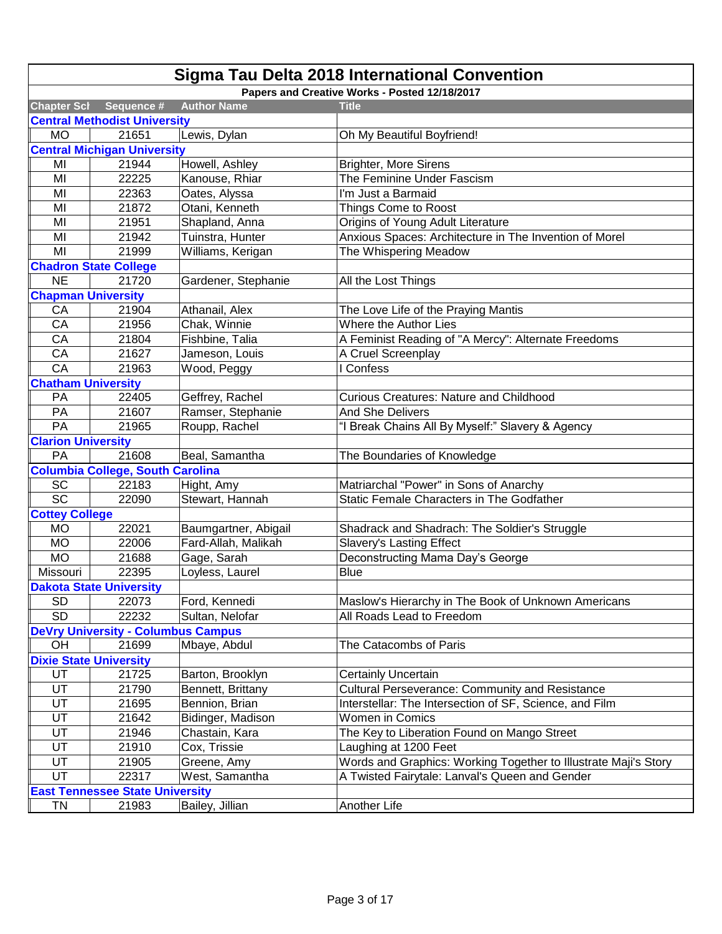| Sigma Tau Delta 2018 International Convention |                                           |                      |                                                                 |  |
|-----------------------------------------------|-------------------------------------------|----------------------|-----------------------------------------------------------------|--|
|                                               |                                           |                      | Papers and Creative Works - Posted 12/18/2017                   |  |
| <b>Chapter Scl</b>                            | Sequence #                                | <b>Author Name</b>   | <b>Title</b>                                                    |  |
|                                               | <b>Central Methodist University</b>       |                      |                                                                 |  |
| <b>MO</b>                                     | 21651                                     | Lewis, Dylan         | Oh My Beautiful Boyfriend!                                      |  |
|                                               | <b>Central Michigan University</b>        |                      |                                                                 |  |
| MI                                            | 21944                                     | Howell, Ashley       | <b>Brighter, More Sirens</b>                                    |  |
| MI                                            | 22225                                     | Kanouse, Rhiar       | The Feminine Under Fascism                                      |  |
| MI                                            | 22363                                     | Oates, Alyssa        | I'm Just a Barmaid                                              |  |
| MI                                            | 21872                                     | Otani, Kenneth       | Things Come to Roost                                            |  |
| MI                                            | 21951                                     | Shapland, Anna       | Origins of Young Adult Literature                               |  |
| MI                                            | 21942                                     | Tuinstra, Hunter     | Anxious Spaces: Architecture in The Invention of Morel          |  |
| MI                                            | 21999                                     | Williams, Kerigan    | The Whispering Meadow                                           |  |
|                                               | <b>Chadron State College</b>              |                      |                                                                 |  |
| <b>NE</b>                                     | 21720                                     | Gardener, Stephanie  | All the Lost Things                                             |  |
| <b>Chapman University</b>                     |                                           |                      |                                                                 |  |
| CA                                            | 21904                                     | Athanail, Alex       | The Love Life of the Praying Mantis                             |  |
| CA                                            | 21956                                     | Chak, Winnie         | Where the Author Lies                                           |  |
| CA                                            | 21804                                     | Fishbine, Talia      | A Feminist Reading of "A Mercy": Alternate Freedoms             |  |
| CA                                            | 21627                                     | Jameson, Louis       | A Cruel Screenplay                                              |  |
| CA                                            | 21963                                     | Wood, Peggy          | I Confess                                                       |  |
| <b>Chatham University</b>                     |                                           |                      |                                                                 |  |
| PA                                            | 22405                                     | Geffrey, Rachel      | <b>Curious Creatures: Nature and Childhood</b>                  |  |
| PA                                            | 21607                                     | Ramser, Stephanie    | <b>And She Delivers</b>                                         |  |
| PA                                            | 21965                                     | Roupp, Rachel        | "I Break Chains All By Myself:" Slavery & Agency                |  |
| <b>Clarion University</b>                     |                                           |                      |                                                                 |  |
| PA                                            | 21608                                     | Beal, Samantha       | The Boundaries of Knowledge                                     |  |
|                                               | <b>Columbia College, South Carolina</b>   |                      |                                                                 |  |
| SC                                            | 22183                                     | Hight, Amy           | Matriarchal "Power" in Sons of Anarchy                          |  |
| $\overline{SC}$                               | 22090                                     | Stewart, Hannah      | Static Female Characters in The Godfather                       |  |
| <b>Cottey College</b>                         |                                           |                      |                                                                 |  |
| <b>MO</b>                                     | 22021                                     | Baumgartner, Abigail | Shadrack and Shadrach: The Soldier's Struggle                   |  |
| <b>MO</b>                                     | 22006                                     | Fard-Allah, Malikah  | <b>Slavery's Lasting Effect</b>                                 |  |
| <b>MO</b>                                     | 21688                                     | Gage, Sarah          | Deconstructing Mama Day's George                                |  |
| Missouri                                      | 22395                                     | Loyless, Laurel      | <b>Blue</b>                                                     |  |
|                                               | <b>Dakota State University</b>            |                      |                                                                 |  |
| <b>SD</b>                                     | 22073                                     | Ford, Kennedi        | Maslow's Hierarchy in The Book of Unknown Americans             |  |
| <b>SD</b>                                     | 22232                                     | Sultan, Nelofar      | All Roads Lead to Freedom                                       |  |
|                                               | <b>DeVry University - Columbus Campus</b> |                      |                                                                 |  |
| OH                                            | 21699                                     | Mbaye, Abdul         | The Catacombs of Paris                                          |  |
|                                               | <b>Dixie State University</b>             |                      |                                                                 |  |
| UT                                            | 21725                                     | Barton, Brooklyn     | <b>Certainly Uncertain</b>                                      |  |
| UT                                            | 21790                                     | Bennett, Brittany    | Cultural Perseverance: Community and Resistance                 |  |
| UT                                            | 21695                                     | Bennion, Brian       | Interstellar: The Intersection of SF, Science, and Film         |  |
| UT                                            | 21642                                     | Bidinger, Madison    | Women in Comics                                                 |  |
| UT                                            | 21946                                     | Chastain, Kara       | The Key to Liberation Found on Mango Street                     |  |
| UT                                            | 21910                                     | Cox, Trissie         | Laughing at 1200 Feet                                           |  |
| UT                                            | 21905                                     | Greene, Amy          | Words and Graphics: Working Together to Illustrate Maji's Story |  |
| UT                                            | 22317                                     | West, Samantha       | A Twisted Fairytale: Lanval's Queen and Gender                  |  |
|                                               | <b>East Tennessee State University</b>    |                      |                                                                 |  |
| <b>TN</b>                                     | 21983                                     | Bailey, Jillian      | Another Life                                                    |  |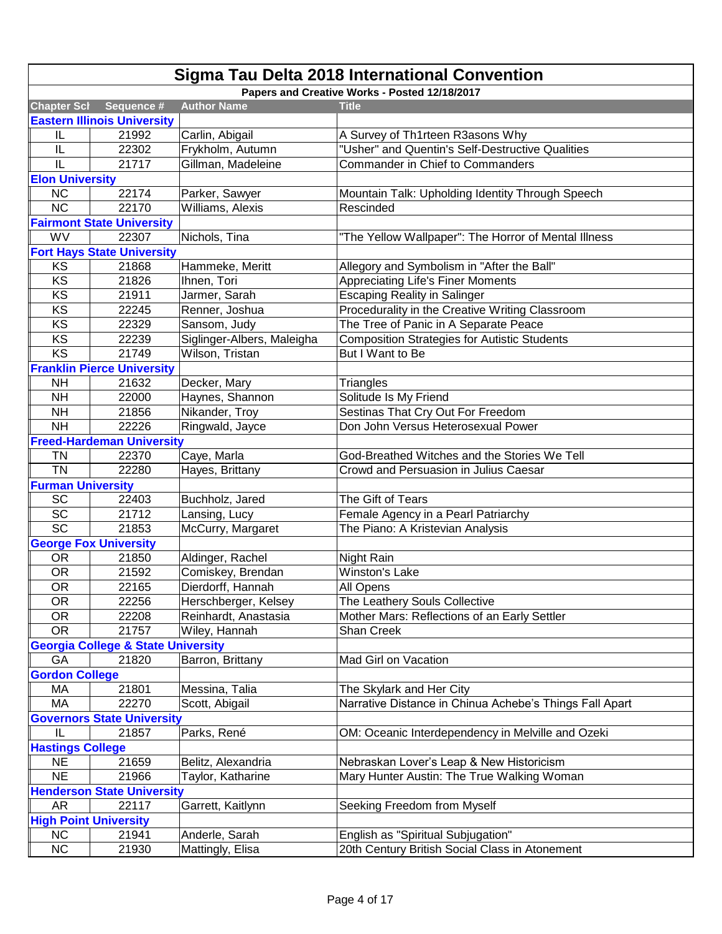|                                   | <b>Sigma Tau Delta 2018 International Convention</b> |                            |                                                         |  |
|-----------------------------------|------------------------------------------------------|----------------------------|---------------------------------------------------------|--|
|                                   |                                                      |                            | Papers and Creative Works - Posted 12/18/2017           |  |
| <b>Chapter Scl</b>                | Sequence #                                           | <b>Author Name</b>         | <b>Title</b>                                            |  |
|                                   | <b>Eastern Illinois University</b>                   |                            |                                                         |  |
| IL                                | 21992                                                | Carlin, Abigail            | A Survey of Th1rteen R3asons Why                        |  |
| IL                                | 22302                                                | Frykholm, Autumn           | "Usher" and Quentin's Self-Destructive Qualities        |  |
| IL                                | 21717                                                | Gillman, Madeleine         | Commander in Chief to Commanders                        |  |
| <b>Elon University</b>            |                                                      |                            |                                                         |  |
| <b>NC</b>                         | 22174                                                | Parker, Sawyer             | Mountain Talk: Upholding Identity Through Speech        |  |
| <b>NC</b>                         | 22170                                                | Williams, Alexis           | Rescinded                                               |  |
|                                   | <b>Fairmont State University</b>                     |                            |                                                         |  |
| WV                                | 22307                                                | Nichols, Tina              | "The Yellow Wallpaper": The Horror of Mental Illness    |  |
|                                   | <b>Fort Hays State University</b>                    |                            |                                                         |  |
| KS                                | 21868                                                | Hammeke, Meritt            | Allegory and Symbolism in "After the Ball"              |  |
| KS                                | 21826                                                | Ihnen, Tori                | <b>Appreciating Life's Finer Moments</b>                |  |
| KS                                | 21911                                                | Jarmer, Sarah              | <b>Escaping Reality in Salinger</b>                     |  |
| KS                                | 22245                                                | Renner, Joshua             | Procedurality in the Creative Writing Classroom         |  |
| KS                                | 22329                                                | Sansom, Judy               | The Tree of Panic in A Separate Peace                   |  |
| KS                                | 22239                                                | Siglinger-Albers, Maleigha | <b>Composition Strategies for Autistic Students</b>     |  |
| KS                                | 21749                                                | Wilson, Tristan            | But I Want to Be                                        |  |
|                                   | <b>Franklin Pierce University</b>                    |                            |                                                         |  |
| <b>NH</b>                         | 21632                                                | Decker, Mary               | Triangles                                               |  |
| <b>NH</b>                         | 22000                                                | Haynes, Shannon            | Solitude Is My Friend                                   |  |
| <b>NH</b>                         | 21856                                                | Nikander, Troy             | Sestinas That Cry Out For Freedom                       |  |
| <b>NH</b>                         | 22226                                                | Ringwald, Jayce            | Don John Versus Heterosexual Power                      |  |
|                                   | <b>Freed-Hardeman University</b>                     |                            |                                                         |  |
| <b>TN</b>                         | 22370                                                | Caye, Marla                | God-Breathed Witches and the Stories We Tell            |  |
| <b>TN</b>                         | 22280                                                | Hayes, Brittany            | Crowd and Persuasion in Julius Caesar                   |  |
| <b>Furman University</b>          |                                                      |                            |                                                         |  |
| SC                                | 22403                                                | Buchholz, Jared            | The Gift of Tears                                       |  |
| SC                                | 21712                                                | Lansing, Lucy              | Female Agency in a Pearl Patriarchy                     |  |
| $\overline{SC}$                   | 21853                                                | McCurry, Margaret          | The Piano: A Kristevian Analysis                        |  |
|                                   | <b>George Fox University</b>                         |                            |                                                         |  |
| <b>OR</b>                         | 21850                                                | Aldinger, Rachel           | Night Rain                                              |  |
| <b>OR</b>                         | 21592                                                | Comiskey, Brendan          | <b>Winston's Lake</b>                                   |  |
| <b>OR</b>                         | 22165                                                | Dierdorff, Hannah          | All Opens                                               |  |
| <b>OR</b>                         | 22256                                                | Herschberger, Kelsey       | The Leathery Souls Collective                           |  |
| <b>OR</b>                         | 22208                                                | Reinhardt, Anastasia       | Mother Mars: Reflections of an Early Settler            |  |
| <b>OR</b>                         | 21757                                                | Wiley, Hannah              | Shan Creek                                              |  |
|                                   | <b>Georgia College &amp; State University</b>        |                            |                                                         |  |
| GA                                | 21820                                                | Barron, Brittany           | Mad Girl on Vacation                                    |  |
| <b>Gordon College</b>             |                                                      |                            |                                                         |  |
| МA                                | 21801                                                | Messina, Talia             | The Skylark and Her City                                |  |
| MA                                | 22270                                                | Scott, Abigail             | Narrative Distance in Chinua Achebe's Things Fall Apart |  |
| <b>Governors State University</b> |                                                      |                            |                                                         |  |
| IL                                | 21857                                                | Parks, René                | OM: Oceanic Interdependency in Melville and Ozeki       |  |
| <b>Hastings College</b>           |                                                      |                            |                                                         |  |
| <b>NE</b>                         | 21659                                                | Belitz, Alexandria         | Nebraskan Lover's Leap & New Historicism                |  |
| <b>NE</b>                         | 21966                                                | Taylor, Katharine          | Mary Hunter Austin: The True Walking Woman              |  |
|                                   | <b>Henderson State University</b>                    |                            |                                                         |  |
| AR                                | 22117                                                | Garrett, Kaitlynn          | Seeking Freedom from Myself                             |  |
|                                   | <b>High Point University</b>                         |                            |                                                         |  |
| NC                                | 21941                                                | Anderle, Sarah             | English as "Spiritual Subjugation"                      |  |
| NC                                | 21930                                                | Mattingly, Elisa           | 20th Century British Social Class in Atonement          |  |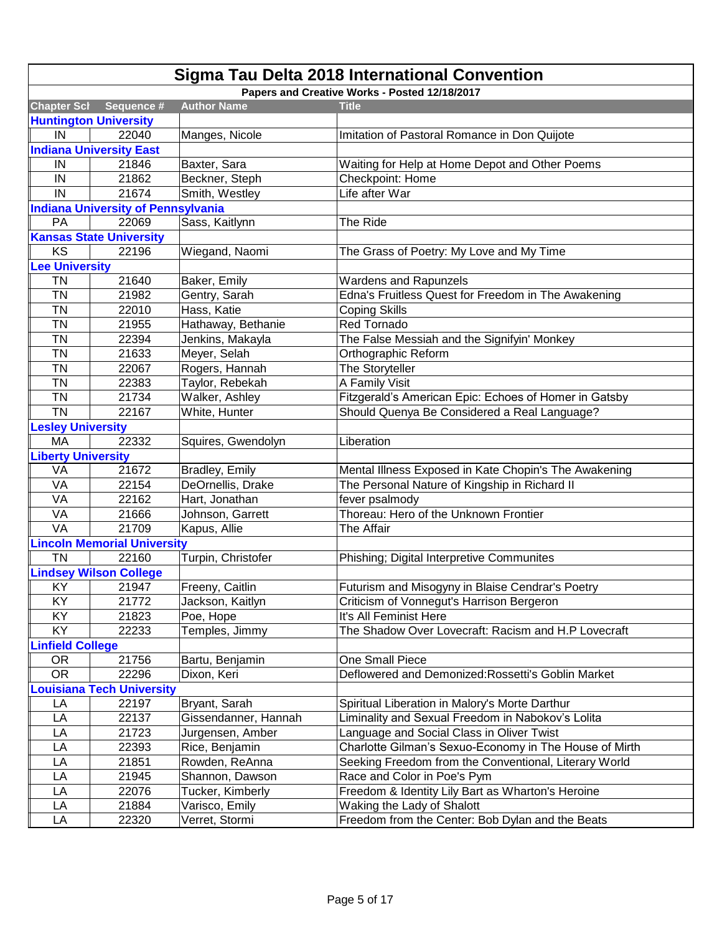|                                  | <b>Sigma Tau Delta 2018 International Convention</b> |                      |                                                        |  |  |
|----------------------------------|------------------------------------------------------|----------------------|--------------------------------------------------------|--|--|
|                                  |                                                      |                      | Papers and Creative Works - Posted 12/18/2017          |  |  |
| <b>Chapter Scl</b>               | Sequence #                                           | <b>Author Name</b>   | <b>Title</b>                                           |  |  |
|                                  | <b>Huntington University</b>                         |                      |                                                        |  |  |
| IN                               | 22040                                                | Manges, Nicole       | Imitation of Pastoral Romance in Don Quijote           |  |  |
|                                  | <b>Indiana University East</b>                       |                      |                                                        |  |  |
| IN                               | 21846                                                | Baxter, Sara         | Waiting for Help at Home Depot and Other Poems         |  |  |
| IN                               | 21862                                                | Beckner, Steph       | Checkpoint: Home                                       |  |  |
| IN                               | 21674                                                | Smith, Westley       | Life after War                                         |  |  |
|                                  | <b>Indiana University of Pennsylvania</b>            |                      |                                                        |  |  |
| PA                               | 22069                                                | Sass, Kaitlynn       | The Ride                                               |  |  |
|                                  | <b>Kansas State University</b>                       |                      |                                                        |  |  |
| <b>KS</b>                        | 22196                                                | Wiegand, Naomi       | The Grass of Poetry: My Love and My Time               |  |  |
| <b>Lee University</b>            |                                                      |                      |                                                        |  |  |
| <b>TN</b>                        | 21640                                                | Baker, Emily         | Wardens and Rapunzels                                  |  |  |
| <b>TN</b>                        | 21982                                                | Gentry, Sarah        | Edna's Fruitless Quest for Freedom in The Awakening    |  |  |
| <b>TN</b>                        | 22010                                                | Hass, Katie          | <b>Coping Skills</b>                                   |  |  |
| <b>TN</b>                        | 21955                                                | Hathaway, Bethanie   | <b>Red Tornado</b>                                     |  |  |
| <b>TN</b>                        | 22394                                                | Jenkins, Makayla     | The False Messiah and the Signifyin' Monkey            |  |  |
| <b>TN</b>                        | 21633                                                | Meyer, Selah         | Orthographic Reform                                    |  |  |
| <b>TN</b>                        | 22067                                                | Rogers, Hannah       | The Storyteller                                        |  |  |
| <b>TN</b>                        | 22383                                                | Taylor, Rebekah      | A Family Visit                                         |  |  |
| <b>TN</b>                        | 21734                                                | Walker, Ashley       | Fitzgerald's American Epic: Echoes of Homer in Gatsby  |  |  |
| <b>TN</b>                        | 22167                                                | White, Hunter        | Should Quenya Be Considered a Real Language?           |  |  |
| <b>Lesley University</b>         |                                                      |                      |                                                        |  |  |
| MA                               | 22332                                                | Squires, Gwendolyn   | Liberation                                             |  |  |
| <b>Liberty University</b>        |                                                      |                      |                                                        |  |  |
| VA                               | 21672                                                | Bradley, Emily       | Mental Illness Exposed in Kate Chopin's The Awakening  |  |  |
| VA                               | 22154                                                | DeOrnellis, Drake    | The Personal Nature of Kingship in Richard II          |  |  |
| VA                               | 22162                                                | Hart, Jonathan       | fever psalmody                                         |  |  |
| VA                               | 21666                                                | Johnson, Garrett     | Thoreau: Hero of the Unknown Frontier                  |  |  |
| VA                               | 21709                                                | Kapus, Allie         | The Affair                                             |  |  |
|                                  | <b>Lincoln Memorial University</b>                   |                      |                                                        |  |  |
| <b>TN</b>                        | 22160                                                | Turpin, Christofer   | Phishing; Digital Interpretive Communites              |  |  |
|                                  | <b>Lindsey Wilson College</b>                        |                      |                                                        |  |  |
| KY                               | 21947                                                | Freeny, Caitlin      | Futurism and Misogyny in Blaise Cendrar's Poetry       |  |  |
| KY                               | 21772                                                | Jackson, Kaitlyn     | Criticism of Vonnegut's Harrison Bergeron              |  |  |
| KY                               | 21823                                                | Poe, Hope            | It's All Feminist Here                                 |  |  |
| KY                               | 22233                                                | Temples, Jimmy       | The Shadow Over Lovecraft: Racism and H.P Lovecraft    |  |  |
| <b>Linfield College</b>          |                                                      |                      |                                                        |  |  |
| <b>OR</b>                        | 21756                                                | Bartu, Benjamin      | One Small Piece                                        |  |  |
| <b>OR</b>                        | 22296                                                | Dixon, Keri          | Deflowered and Demonized: Rossetti's Goblin Market     |  |  |
| <b>Louisiana Tech University</b> |                                                      |                      |                                                        |  |  |
| LA                               | 22197                                                | Bryant, Sarah        | Spiritual Liberation in Malory's Morte Darthur         |  |  |
| LA                               | 22137                                                | Gissendanner, Hannah | Liminality and Sexual Freedom in Nabokov's Lolita      |  |  |
| LA                               | 21723                                                | Jurgensen, Amber     | Language and Social Class in Oliver Twist              |  |  |
| LA                               | 22393                                                | Rice, Benjamin       | Charlotte Gilman's Sexuo-Economy in The House of Mirth |  |  |
| LA                               | 21851                                                | Rowden, ReAnna       | Seeking Freedom from the Conventional, Literary World  |  |  |
| LA                               | 21945                                                | Shannon, Dawson      | Race and Color in Poe's Pym                            |  |  |
| LA                               | 22076                                                | Tucker, Kimberly     | Freedom & Identity Lily Bart as Wharton's Heroine      |  |  |
| LA                               | 21884                                                | Varisco, Emily       | Waking the Lady of Shalott                             |  |  |
| LA                               | 22320                                                | Verret, Stormi       | Freedom from the Center: Bob Dylan and the Beats       |  |  |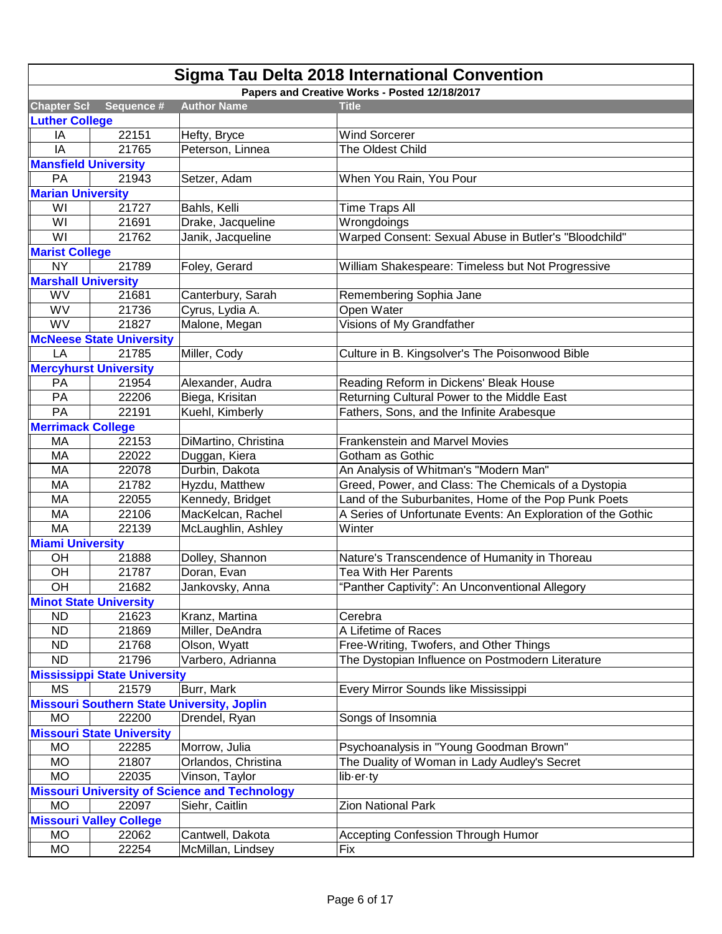|                             | <b>Sigma Tau Delta 2018 International Convention</b> |                                                      |                                                              |  |
|-----------------------------|------------------------------------------------------|------------------------------------------------------|--------------------------------------------------------------|--|
|                             |                                                      |                                                      | Papers and Creative Works - Posted 12/18/2017                |  |
| <b>Chapter Scl</b>          | Sequence #                                           | <b>Author Name</b>                                   | <b>Title</b>                                                 |  |
| <b>Luther College</b>       |                                                      |                                                      |                                                              |  |
| IA                          | 22151                                                | Hefty, Bryce                                         | <b>Wind Sorcerer</b>                                         |  |
| IA                          | 21765                                                | Peterson, Linnea                                     | The Oldest Child                                             |  |
| <b>Mansfield University</b> |                                                      |                                                      |                                                              |  |
| PA                          | 21943                                                | Setzer, Adam                                         | When You Rain, You Pour                                      |  |
| <b>Marian University</b>    |                                                      |                                                      |                                                              |  |
| WI                          | 21727                                                | Bahls, Kelli                                         | Time Traps All                                               |  |
| WI                          | 21691                                                | Drake, Jacqueline                                    | Wrongdoings                                                  |  |
| WI                          | 21762                                                | Janik, Jacqueline                                    | Warped Consent: Sexual Abuse in Butler's "Bloodchild"        |  |
| <b>Marist College</b>       |                                                      |                                                      |                                                              |  |
| <b>NY</b>                   | 21789                                                | Foley, Gerard                                        | William Shakespeare: Timeless but Not Progressive            |  |
| <b>Marshall University</b>  |                                                      |                                                      |                                                              |  |
| WV                          | 21681                                                | Canterbury, Sarah                                    | Remembering Sophia Jane                                      |  |
| WV                          | 21736                                                | Cyrus, Lydia A.                                      | Open Water                                                   |  |
| WV                          | 21827                                                | Malone, Megan                                        | Visions of My Grandfather                                    |  |
|                             | <b>McNeese State University</b>                      |                                                      |                                                              |  |
| LA                          | 21785                                                | Miller, Cody                                         | Culture in B. Kingsolver's The Poisonwood Bible              |  |
|                             | <b>Mercyhurst University</b>                         |                                                      |                                                              |  |
| <b>PA</b>                   | 21954                                                | Alexander, Audra                                     | Reading Reform in Dickens' Bleak House                       |  |
| PA                          | 22206                                                | Biega, Krisitan                                      | Returning Cultural Power to the Middle East                  |  |
| PA                          | 22191                                                | Kuehl, Kimberly                                      | Fathers, Sons, and the Infinite Arabesque                    |  |
| <b>Merrimack College</b>    |                                                      |                                                      |                                                              |  |
| MA                          | 22153                                                | DiMartino, Christina                                 | <b>Frankenstein and Marvel Movies</b>                        |  |
| <b>MA</b>                   | 22022                                                | Duggan, Kiera                                        | Gotham as Gothic                                             |  |
| MA                          | 22078                                                | Durbin, Dakota                                       | An Analysis of Whitman's "Modern Man"                        |  |
| <b>MA</b>                   | 21782                                                | Hyzdu, Matthew                                       | Greed, Power, and Class: The Chemicals of a Dystopia         |  |
| MA                          | 22055                                                | Kennedy, Bridget                                     | Land of the Suburbanites, Home of the Pop Punk Poets         |  |
| MA                          | 22106                                                | MacKelcan, Rachel                                    | A Series of Unfortunate Events: An Exploration of the Gothic |  |
| MA                          | 22139                                                | McLaughlin, Ashley                                   | Winter                                                       |  |
| <b>Miami University</b>     |                                                      |                                                      |                                                              |  |
| OH                          | 21888                                                | Dolley, Shannon                                      | Nature's Transcendence of Humanity in Thoreau                |  |
| OH                          | 21787                                                | Doran, Evan                                          | Tea With Her Parents                                         |  |
| OH                          | 21682                                                | Jankovsky, Anna                                      | "Panther Captivity": An Unconventional Allegory              |  |
|                             | <b>Minot State University</b>                        |                                                      |                                                              |  |
| <b>ND</b>                   | 21623                                                | Kranz, Martina                                       | Cerebra                                                      |  |
| <b>ND</b>                   | 21869                                                | Miller, DeAndra                                      | A Lifetime of Races                                          |  |
| <b>ND</b>                   | 21768                                                | Olson, Wyatt                                         | Free-Writing, Twofers, and Other Things                      |  |
| <b>ND</b>                   | 21796                                                | Varbero, Adrianna                                    | The Dystopian Influence on Postmodern Literature             |  |
|                             | <b>Mississippi State University</b>                  |                                                      |                                                              |  |
| <b>MS</b>                   | 21579                                                | Burr, Mark                                           | Every Mirror Sounds like Mississippi                         |  |
|                             |                                                      | <b>Missouri Southern State University, Joplin</b>    |                                                              |  |
| <b>MO</b>                   | 22200                                                | Drendel, Ryan                                        | Songs of Insomnia                                            |  |
|                             | <b>Missouri State University</b>                     |                                                      |                                                              |  |
| <b>MO</b>                   | 22285                                                | Morrow, Julia                                        | Psychoanalysis in "Young Goodman Brown"                      |  |
| <b>MO</b>                   | 21807                                                | Orlandos, Christina                                  | The Duality of Woman in Lady Audley's Secret                 |  |
| <b>MO</b>                   | 22035                                                | Vinson, Taylor                                       | lib-er-ty                                                    |  |
|                             |                                                      | <b>Missouri University of Science and Technology</b> |                                                              |  |
| <b>MO</b>                   | 22097                                                | Siehr, Caitlin                                       | <b>Zion National Park</b>                                    |  |
|                             | <b>Missouri Valley College</b>                       |                                                      |                                                              |  |
| <b>MO</b>                   | 22062                                                | Cantwell, Dakota                                     | <b>Accepting Confession Through Humor</b>                    |  |
| <b>MO</b>                   | 22254                                                | McMillan, Lindsey                                    | Fix                                                          |  |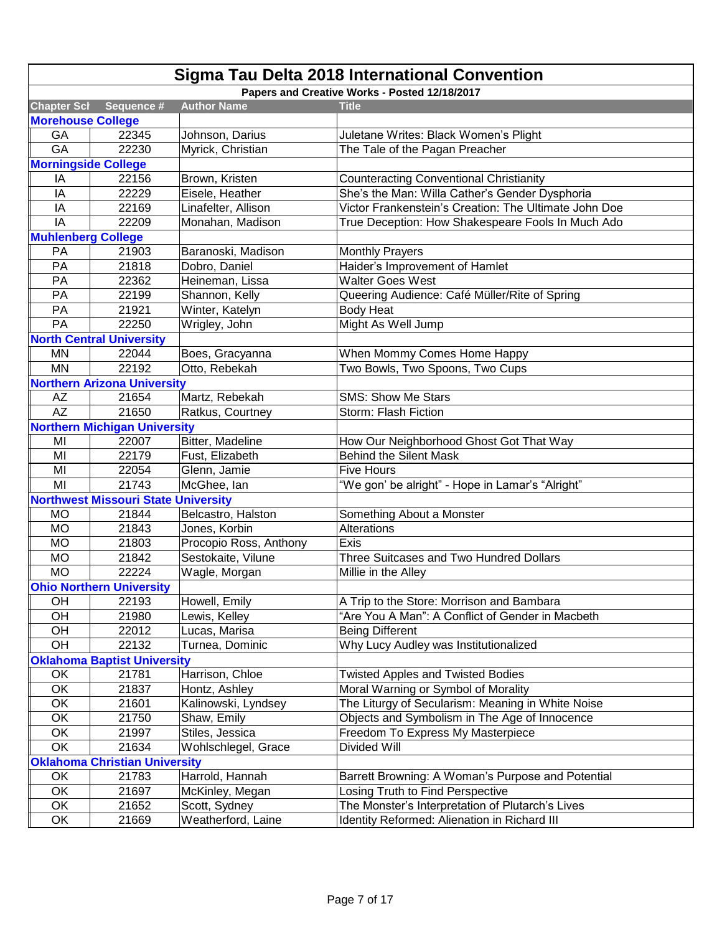| <b>Sigma Tau Delta 2018 International Convention</b> |                                            |                        |                                                       |  |
|------------------------------------------------------|--------------------------------------------|------------------------|-------------------------------------------------------|--|
|                                                      |                                            |                        | Papers and Creative Works - Posted 12/18/2017         |  |
| <b>Chapter Scl</b>                                   | Sequence #                                 | <b>Author Name</b>     | <b>Title</b>                                          |  |
| <b>Morehouse College</b>                             |                                            |                        |                                                       |  |
| GA                                                   | 22345                                      | Johnson, Darius        | Juletane Writes: Black Women's Plight                 |  |
| GA                                                   | 22230                                      | Myrick, Christian      | The Tale of the Pagan Preacher                        |  |
| <b>Morningside College</b>                           |                                            |                        |                                                       |  |
| IA                                                   | 22156                                      | Brown, Kristen         | <b>Counteracting Conventional Christianity</b>        |  |
| IA                                                   | 22229                                      | Eisele, Heather        | She's the Man: Willa Cather's Gender Dysphoria        |  |
| IA                                                   | 22169                                      | Linafelter, Allison    | Victor Frankenstein's Creation: The Ultimate John Doe |  |
| IA                                                   | 22209                                      | Monahan, Madison       | True Deception: How Shakespeare Fools In Much Ado     |  |
| <b>Muhlenberg College</b>                            |                                            |                        |                                                       |  |
| PA                                                   | 21903                                      | Baranoski, Madison     | <b>Monthly Prayers</b>                                |  |
| PA                                                   | 21818                                      | Dobro, Daniel          | Haider's Improvement of Hamlet                        |  |
| PA                                                   | 22362                                      | Heineman, Lissa        | <b>Walter Goes West</b>                               |  |
| PA                                                   | 22199                                      | Shannon, Kelly         | Queering Audience: Café Müller/Rite of Spring         |  |
| PA                                                   | 21921                                      | Winter, Katelyn        | <b>Body Heat</b>                                      |  |
| PA                                                   | 22250                                      | Wrigley, John          | Might As Well Jump                                    |  |
|                                                      | <b>North Central University</b>            |                        |                                                       |  |
| MN                                                   | 22044                                      | Boes, Gracyanna        | When Mommy Comes Home Happy                           |  |
| <b>MN</b>                                            | 22192                                      | Otto, Rebekah          | Two Bowls, Two Spoons, Two Cups                       |  |
|                                                      | <b>Northern Arizona University</b>         |                        |                                                       |  |
| AZ                                                   | 21654                                      | Martz, Rebekah         | <b>SMS: Show Me Stars</b>                             |  |
| AZ                                                   | 21650                                      | Ratkus, Courtney       | Storm: Flash Fiction                                  |  |
|                                                      | <b>Northern Michigan University</b>        |                        |                                                       |  |
| MI                                                   | 22007                                      | Bitter, Madeline       | How Our Neighborhood Ghost Got That Way               |  |
| MI                                                   | 22179                                      | Fust, Elizabeth        | <b>Behind the Silent Mask</b>                         |  |
| MI                                                   | 22054                                      | Glenn, Jamie           | <b>Five Hours</b>                                     |  |
| MI                                                   | 21743                                      | McGhee, lan            | "We gon' be alright" - Hope in Lamar's "Alright"      |  |
|                                                      | <b>Northwest Missouri State University</b> |                        |                                                       |  |
| <b>MO</b>                                            | 21844                                      | Belcastro, Halston     | Something About a Monster                             |  |
| <b>MO</b>                                            | 21843                                      | Jones, Korbin          | Alterations                                           |  |
| <b>MO</b>                                            | 21803                                      | Procopio Ross, Anthony | Exis                                                  |  |
| <b>MO</b>                                            | 21842                                      | Sestokaite, Vilune     | Three Suitcases and Two Hundred Dollars               |  |
| <b>MO</b>                                            | 22224                                      | Wagle, Morgan          | Millie in the Alley                                   |  |
|                                                      | <b>Ohio Northern University</b>            |                        |                                                       |  |
| OH                                                   | 22193                                      | Howell, Emily          | A Trip to the Store: Morrison and Bambara             |  |
| OH                                                   | 21980                                      | Lewis, Kelley          | "Are You A Man": A Conflict of Gender in Macbeth      |  |
| OH                                                   | 22012                                      | Lucas, Marisa          | <b>Being Different</b>                                |  |
| OH                                                   | 22132                                      | Turnea, Dominic        | Why Lucy Audley was Institutionalized                 |  |
|                                                      | <b>Oklahoma Baptist University</b>         |                        |                                                       |  |
| OK                                                   | 21781                                      | Harrison, Chloe        | <b>Twisted Apples and Twisted Bodies</b>              |  |
| OK                                                   | 21837                                      | Hontz, Ashley          | Moral Warning or Symbol of Morality                   |  |
| OK                                                   | 21601                                      | Kalinowski, Lyndsey    | The Liturgy of Secularism: Meaning in White Noise     |  |
| OK                                                   | 21750                                      | Shaw, Emily            | Objects and Symbolism in The Age of Innocence         |  |
| OK                                                   | 21997                                      | Stiles, Jessica        | Freedom To Express My Masterpiece                     |  |
| OK                                                   | 21634                                      | Wohlschlegel, Grace    | Divided Will                                          |  |
|                                                      | <b>Oklahoma Christian University</b>       |                        |                                                       |  |
| OK                                                   | 21783                                      | Harrold, Hannah        | Barrett Browning: A Woman's Purpose and Potential     |  |
| OK                                                   | 21697                                      | McKinley, Megan        | Losing Truth to Find Perspective                      |  |
| OK                                                   | 21652                                      | Scott, Sydney          | The Monster's Interpretation of Plutarch's Lives      |  |
| OK                                                   | 21669                                      | Weatherford, Laine     | Identity Reformed: Alienation in Richard III          |  |
|                                                      |                                            |                        |                                                       |  |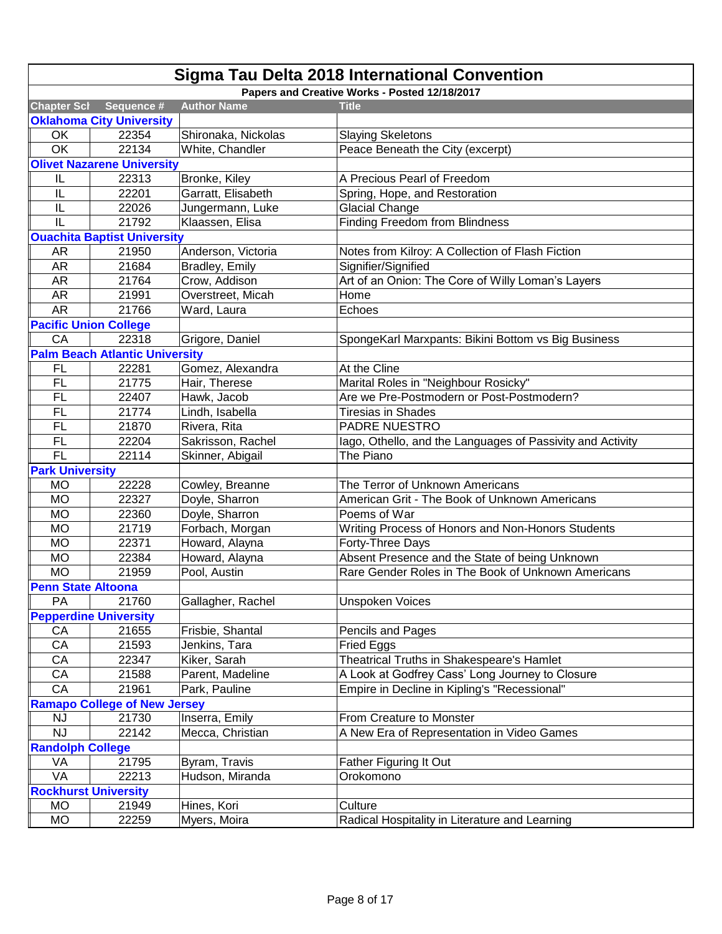| Sigma Tau Delta 2018 International Convention |                                               |                     |                                                            |  |  |
|-----------------------------------------------|-----------------------------------------------|---------------------|------------------------------------------------------------|--|--|
|                                               | Papers and Creative Works - Posted 12/18/2017 |                     |                                                            |  |  |
| <b>Chapter Scl</b>                            | Sequence #                                    | <b>Author Name</b>  | <b>Title</b>                                               |  |  |
|                                               | <b>Oklahoma City University</b>               |                     |                                                            |  |  |
| OK                                            | 22354                                         | Shironaka, Nickolas | <b>Slaying Skeletons</b>                                   |  |  |
| OK                                            | 22134                                         | White, Chandler     | Peace Beneath the City (excerpt)                           |  |  |
|                                               | <b>Olivet Nazarene University</b>             |                     |                                                            |  |  |
| IL                                            | 22313                                         | Bronke, Kiley       | A Precious Pearl of Freedom                                |  |  |
| IL                                            | 22201                                         | Garratt, Elisabeth  | Spring, Hope, and Restoration                              |  |  |
| IL                                            | 22026                                         | Jungermann, Luke    | <b>Glacial Change</b>                                      |  |  |
| IL                                            | 21792                                         | Klaassen, Elisa     | <b>Finding Freedom from Blindness</b>                      |  |  |
|                                               | <b>Ouachita Baptist University</b>            |                     |                                                            |  |  |
| AR                                            | 21950                                         | Anderson, Victoria  | Notes from Kilroy: A Collection of Flash Fiction           |  |  |
| <b>AR</b>                                     | 21684                                         | Bradley, Emily      | Signifier/Signified                                        |  |  |
| <b>AR</b>                                     | 21764                                         | Crow, Addison       | Art of an Onion: The Core of Willy Loman's Layers          |  |  |
| <b>AR</b>                                     | 21991                                         | Overstreet, Micah   | Home                                                       |  |  |
| <b>AR</b>                                     | 21766                                         | Ward, Laura         | Echoes                                                     |  |  |
|                                               | <b>Pacific Union College</b>                  |                     |                                                            |  |  |
| CA                                            | 22318                                         | Grigore, Daniel     | SpongeKarl Marxpants: Bikini Bottom vs Big Business        |  |  |
|                                               | <b>Palm Beach Atlantic University</b>         |                     |                                                            |  |  |
| FL                                            | 22281                                         | Gomez, Alexandra    | At the Cline                                               |  |  |
| <b>FL</b>                                     | 21775                                         | Hair, Therese       | Marital Roles in "Neighbour Rosicky"                       |  |  |
| FL                                            | 22407                                         | Hawk, Jacob         | Are we Pre-Postmodern or Post-Postmodern?                  |  |  |
| <b>FL</b>                                     | 21774                                         | Lindh, Isabella     | <b>Tiresias in Shades</b>                                  |  |  |
| <b>FL</b>                                     | 21870                                         | Rivera, Rita        | PADRE NUESTRO                                              |  |  |
| <b>FL</b>                                     | 22204                                         | Sakrisson, Rachel   | lago, Othello, and the Languages of Passivity and Activity |  |  |
| <b>FL</b>                                     | 22114                                         | Skinner, Abigail    | The Piano                                                  |  |  |
| <b>Park University</b>                        |                                               |                     |                                                            |  |  |
| <b>MO</b>                                     | 22228                                         | Cowley, Breanne     | The Terror of Unknown Americans                            |  |  |
| <b>MO</b>                                     | 22327                                         | Doyle, Sharron      | American Grit - The Book of Unknown Americans              |  |  |
| <b>MO</b>                                     | 22360                                         | Doyle, Sharron      | Poems of War                                               |  |  |
| <b>MO</b>                                     | 21719                                         | Forbach, Morgan     | Writing Process of Honors and Non-Honors Students          |  |  |
| <b>MO</b>                                     | 22371                                         | Howard, Alayna      | Forty-Three Days                                           |  |  |
| <b>MO</b>                                     | 22384                                         | Howard, Alayna      | Absent Presence and the State of being Unknown             |  |  |
| <b>MO</b>                                     | 21959                                         | Pool, Austin        | Rare Gender Roles in The Book of Unknown Americans         |  |  |
| <b>Penn State Altoona</b>                     |                                               |                     |                                                            |  |  |
| PA                                            | 21760                                         | Gallagher, Rachel   | <b>Unspoken Voices</b>                                     |  |  |
|                                               | <b>Pepperdine University</b>                  |                     |                                                            |  |  |
| CA                                            | 21655                                         | Frisbie, Shantal    | Pencils and Pages                                          |  |  |
| CA                                            | 21593                                         | Jenkins, Tara       | Fried Eggs                                                 |  |  |
| CA                                            | 22347                                         | Kiker, Sarah        | Theatrical Truths in Shakespeare's Hamlet                  |  |  |
| CA                                            | 21588                                         | Parent, Madeline    | A Look at Godfrey Cass' Long Journey to Closure            |  |  |
| CA                                            | 21961                                         | Park, Pauline       | Empire in Decline in Kipling's "Recessional"               |  |  |
|                                               | <b>Ramapo College of New Jersey</b>           |                     |                                                            |  |  |
| <b>NJ</b>                                     | 21730                                         | Inserra, Emily      | From Creature to Monster                                   |  |  |
| <b>NJ</b>                                     | 22142                                         | Mecca, Christian    | A New Era of Representation in Video Games                 |  |  |
| <b>Randolph College</b>                       |                                               |                     |                                                            |  |  |
| VA                                            | 21795                                         | Byram, Travis       | Father Figuring It Out                                     |  |  |
| VA                                            | 22213                                         | Hudson, Miranda     | Orokomono                                                  |  |  |
| <b>Rockhurst University</b>                   |                                               |                     |                                                            |  |  |
| <b>MO</b>                                     | 21949                                         | Hines, Kori         | Culture                                                    |  |  |
| <b>MO</b>                                     | 22259                                         | Myers, Moira        | Radical Hospitality in Literature and Learning             |  |  |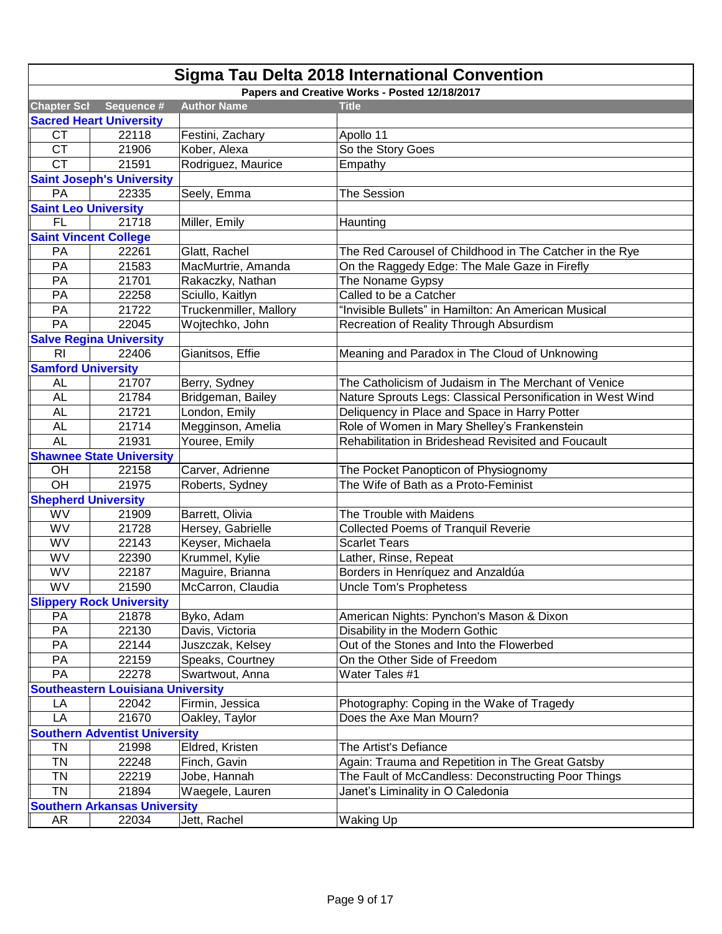| <b>Sigma Tau Delta 2018 International Convention</b> |                                     |                        |                                                             |  |
|------------------------------------------------------|-------------------------------------|------------------------|-------------------------------------------------------------|--|
|                                                      |                                     |                        | Papers and Creative Works - Posted 12/18/2017               |  |
| <b>Chapter Scl</b>                                   | Sequence #                          | <b>Author Name</b>     | <b>Title</b>                                                |  |
|                                                      | <b>Sacred Heart University</b>      |                        |                                                             |  |
| <b>CT</b>                                            | 22118                               | Festini, Zachary       | Apollo 11                                                   |  |
| <b>CT</b>                                            | 21906                               | Kober, Alexa           | So the Story Goes                                           |  |
| <b>CT</b>                                            | 21591                               | Rodriguez, Maurice     | Empathy                                                     |  |
|                                                      | <b>Saint Joseph's University</b>    |                        |                                                             |  |
| PA                                                   | 22335                               | Seely, Emma            | <b>The Session</b>                                          |  |
| <b>Saint Leo University</b>                          |                                     |                        |                                                             |  |
| <b>FL</b>                                            | 21718                               | Miller, Emily          | Haunting                                                    |  |
|                                                      | <b>Saint Vincent College</b>        |                        |                                                             |  |
| PA                                                   | 22261                               | Glatt, Rachel          | The Red Carousel of Childhood in The Catcher in the Rye     |  |
| PA                                                   | 21583                               | MacMurtrie, Amanda     | On the Raggedy Edge: The Male Gaze in Firefly               |  |
| PA                                                   | 21701                               | Rakaczky, Nathan       | The Noname Gypsy                                            |  |
| PA                                                   | 22258                               | Sciullo, Kaitlyn       | Called to be a Catcher                                      |  |
| PA                                                   | 21722                               | Truckenmiller, Mallory | 'Invisible Bullets" in Hamilton: An American Musical        |  |
| PA                                                   | 22045                               | Wojtechko, John        | Recreation of Reality Through Absurdism                     |  |
|                                                      | <b>Salve Regina University</b>      |                        |                                                             |  |
| R <sub>l</sub>                                       | 22406                               | Gianitsos, Effie       | Meaning and Paradox in The Cloud of Unknowing               |  |
| <b>Samford University</b>                            |                                     |                        |                                                             |  |
| <b>AL</b>                                            | 21707                               | Berry, Sydney          | The Catholicism of Judaism in The Merchant of Venice        |  |
| <b>AL</b>                                            | 21784                               | Bridgeman, Bailey      | Nature Sprouts Legs: Classical Personification in West Wind |  |
| <b>AL</b>                                            | 21721                               | London, Emily          | Deliquency in Place and Space in Harry Potter               |  |
| <b>AL</b>                                            | 21714                               | Megginson, Amelia      | Role of Women in Mary Shelley's Frankenstein                |  |
| <b>AL</b>                                            | 21931                               | Youree, Emily          | Rehabilitation in Brideshead Revisited and Foucault         |  |
|                                                      | <b>Shawnee State University</b>     |                        |                                                             |  |
| OH                                                   | 22158                               | Carver, Adrienne       | The Pocket Panopticon of Physiognomy                        |  |
| OH                                                   | 21975                               | Roberts, Sydney        | The Wife of Bath as a Proto-Feminist                        |  |
| <b>Shepherd University</b>                           |                                     |                        |                                                             |  |
| WV                                                   | 21909                               | Barrett, Olivia        | The Trouble with Maidens                                    |  |
| WV                                                   | 21728                               | Hersey, Gabrielle      | <b>Collected Poems of Tranquil Reverie</b>                  |  |
| WV                                                   | 22143                               | Keyser, Michaela       | <b>Scarlet Tears</b>                                        |  |
| WV                                                   | 22390                               | Krummel, Kylie         | Lather, Rinse, Repeat                                       |  |
| WV                                                   | 22187                               | Maguire, Brianna       | Borders in Henríquez and Anzaldúa                           |  |
| WV                                                   | 21590                               | McCarron, Claudia      | <b>Uncle Tom's Prophetess</b>                               |  |
|                                                      | <b>Slippery Rock University</b>     |                        |                                                             |  |
| PA                                                   | 21878                               | Byko, Adam             | American Nights: Pynchon's Mason & Dixon                    |  |
| PA                                                   | 22130                               | Davis, Victoria        | Disability in the Modern Gothic                             |  |
| PA                                                   | 22144                               | Juszczak, Kelsey       | Out of the Stones and Into the Flowerbed                    |  |
| PA                                                   | 22159                               | Speaks, Courtney       | On the Other Side of Freedom                                |  |
| PA                                                   | 22278                               | Swartwout, Anna        | Water Tales #1                                              |  |
| <b>Southeastern Louisiana University</b>             |                                     |                        |                                                             |  |
| LA                                                   | 22042                               | Firmin, Jessica        | Photography: Coping in the Wake of Tragedy                  |  |
| LA                                                   | 21670                               | Oakley, Taylor         | Does the Axe Man Mourn?                                     |  |
| <b>Southern Adventist University</b>                 |                                     |                        |                                                             |  |
| TN                                                   | 21998                               | Eldred, Kristen        | The Artist's Defiance                                       |  |
| <b>TN</b>                                            | 22248                               | Finch, Gavin           | Again: Trauma and Repetition in The Great Gatsby            |  |
| <b>TN</b>                                            | 22219                               | Jobe, Hannah           | The Fault of McCandless: Deconstructing Poor Things         |  |
| <b>TN</b>                                            | 21894                               | Waegele, Lauren        | Janet's Liminality in O Caledonia                           |  |
|                                                      | <b>Southern Arkansas University</b> |                        |                                                             |  |
| AR                                                   | 22034                               | Jett, Rachel           | Waking Up                                                   |  |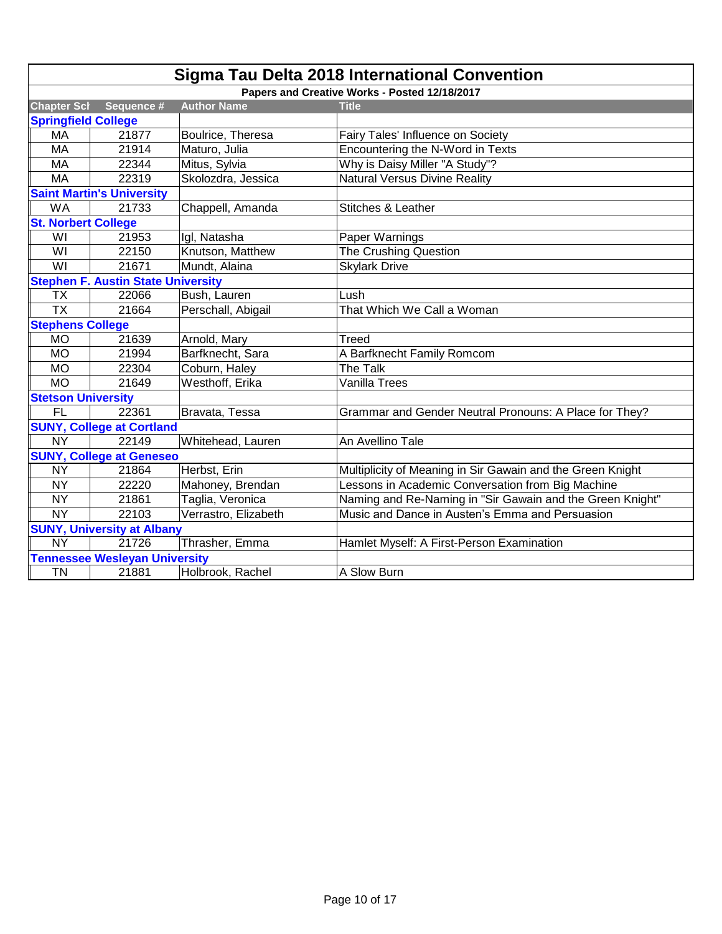|                                 | <b>Sigma Tau Delta 2018 International Convention</b> |                      |                                                            |  |
|---------------------------------|------------------------------------------------------|----------------------|------------------------------------------------------------|--|
|                                 |                                                      |                      | Papers and Creative Works - Posted 12/18/2017              |  |
| <b>Chapter Scl</b>              | Sequence #                                           | <b>Author Name</b>   | <b>Title</b>                                               |  |
| <b>Springfield College</b>      |                                                      |                      |                                                            |  |
| MA                              | 21877                                                | Boulrice, Theresa    | Fairy Tales' Influence on Society                          |  |
| <b>MA</b>                       | 21914                                                | Maturo, Julia        | Encountering the N-Word in Texts                           |  |
| MA                              | 22344                                                | Mitus, Sylvia        | Why is Daisy Miller "A Study"?                             |  |
| <b>MA</b>                       | 22319                                                | Skolozdra, Jessica   | <b>Natural Versus Divine Reality</b>                       |  |
|                                 | <b>Saint Martin's University</b>                     |                      |                                                            |  |
| <b>WA</b>                       | 21733                                                | Chappell, Amanda     | Stitches & Leather                                         |  |
| <b>St. Norbert College</b>      |                                                      |                      |                                                            |  |
| WI                              | 21953                                                | Igl, Natasha         | Paper Warnings                                             |  |
| WI                              | 22150                                                | Knutson, Matthew     | The Crushing Question                                      |  |
| WI                              | 21671                                                | Mundt, Alaina        | <b>Skylark Drive</b>                                       |  |
|                                 | <b>Stephen F. Austin State University</b>            |                      |                                                            |  |
| <b>TX</b>                       | 22066                                                | Bush, Lauren         | Lush                                                       |  |
| $\overline{TX}$                 | 21664                                                | Perschall, Abigail   | That Which We Call a Woman                                 |  |
| <b>Stephens College</b>         |                                                      |                      |                                                            |  |
| <b>MO</b>                       | 21639                                                | Arnold, Mary         | Treed                                                      |  |
| <b>MO</b>                       | 21994                                                | Barfknecht, Sara     | A Barfknecht Family Romcom                                 |  |
| <b>MO</b>                       | 22304                                                | Coburn, Haley        | The Talk                                                   |  |
| <b>MO</b>                       | 21649                                                | Westhoff, Erika      | Vanilla Trees                                              |  |
| <b>Stetson University</b>       |                                                      |                      |                                                            |  |
| <b>FL</b>                       | 22361                                                | Bravata, Tessa       | Grammar and Gender Neutral Pronouns: A Place for They?     |  |
|                                 | <b>SUNY, College at Cortland</b>                     |                      |                                                            |  |
| <b>NY</b>                       | 22149                                                | Whitehead, Lauren    | An Avellino Tale                                           |  |
| <b>SUNY, College at Geneseo</b> |                                                      |                      |                                                            |  |
| <b>NY</b>                       | 21864                                                | Herbst, Erin         | Multiplicity of Meaning in Sir Gawain and the Green Knight |  |
| <b>NY</b>                       | 22220                                                | Mahoney, Brendan     | Lessons in Academic Conversation from Big Machine          |  |
| <b>NY</b>                       | 21861                                                | Taglia, Veronica     | Naming and Re-Naming in "Sir Gawain and the Green Knight"  |  |
| <b>NY</b>                       | 22103                                                | Verrastro, Elizabeth | Music and Dance in Austen's Emma and Persuasion            |  |
|                                 | <b>SUNY, University at Albany</b>                    |                      |                                                            |  |
| <b>NY</b>                       | 21726                                                | Thrasher, Emma       | Hamlet Myself: A First-Person Examination                  |  |
|                                 | <b>Tennessee Wesleyan University</b>                 |                      |                                                            |  |
| <b>TN</b>                       | 21881                                                | Holbrook, Rachel     | A Slow Burn                                                |  |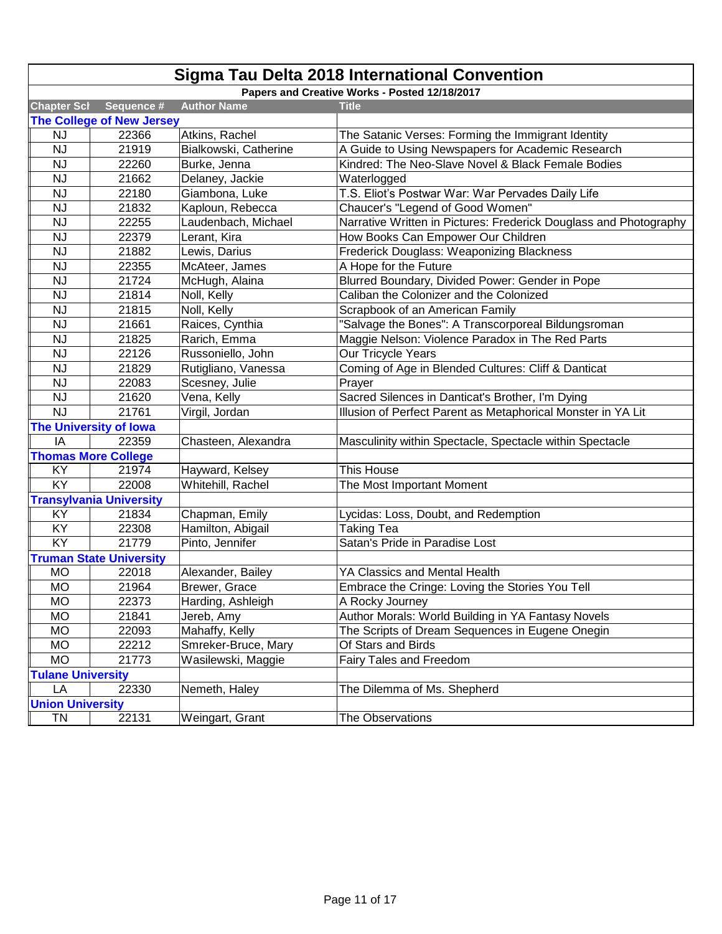| <b>Sigma Tau Delta 2018 International Convention</b> |                                               |                       |                                                                   |  |  |
|------------------------------------------------------|-----------------------------------------------|-----------------------|-------------------------------------------------------------------|--|--|
|                                                      | Papers and Creative Works - Posted 12/18/2017 |                       |                                                                   |  |  |
| <b>Chapter Scl</b>                                   | Sequence #                                    | <b>Author Name</b>    | <b>Title</b>                                                      |  |  |
|                                                      | <b>The College of New Jersey</b>              |                       |                                                                   |  |  |
| <b>NJ</b>                                            | 22366                                         | Atkins, Rachel        | The Satanic Verses: Forming the Immigrant Identity                |  |  |
| <b>NJ</b>                                            | 21919                                         | Bialkowski, Catherine | A Guide to Using Newspapers for Academic Research                 |  |  |
| <b>NJ</b>                                            | 22260                                         | Burke, Jenna          | Kindred: The Neo-Slave Novel & Black Female Bodies                |  |  |
| <b>NJ</b>                                            | 21662                                         | Delaney, Jackie       | Waterlogged                                                       |  |  |
| NJ                                                   | 22180                                         | Giambona, Luke        | T.S. Eliot's Postwar War: War Pervades Daily Life                 |  |  |
| <b>NJ</b>                                            | 21832                                         | Kaploun, Rebecca      | Chaucer's "Legend of Good Women"                                  |  |  |
| <b>NJ</b>                                            | 22255                                         | Laudenbach, Michael   | Narrative Written in Pictures: Frederick Douglass and Photography |  |  |
| NJ                                                   | 22379                                         | Lerant, Kira          | How Books Can Empower Our Children                                |  |  |
| <b>NJ</b>                                            | 21882                                         | Lewis, Darius         | Frederick Douglass: Weaponizing Blackness                         |  |  |
| <b>NJ</b>                                            | 22355                                         | McAteer, James        | A Hope for the Future                                             |  |  |
| NJ                                                   | 21724                                         | McHugh, Alaina        | Blurred Boundary, Divided Power: Gender in Pope                   |  |  |
| NJ                                                   | 21814                                         | Noll, Kelly           | Caliban the Colonizer and the Colonized                           |  |  |
| NJ                                                   | 21815                                         | Noll, Kelly           | Scrapbook of an American Family                                   |  |  |
| <b>NJ</b>                                            | 21661                                         | Raices, Cynthia       | "Salvage the Bones": A Transcorporeal Bildungsroman               |  |  |
| <b>NJ</b>                                            | 21825                                         | Rarich, Emma          | Maggie Nelson: Violence Paradox in The Red Parts                  |  |  |
| <b>NJ</b>                                            | 22126                                         | Russoniello, John     | Our Tricycle Years                                                |  |  |
| <b>NJ</b>                                            | 21829                                         | Rutigliano, Vanessa   | Coming of Age in Blended Cultures: Cliff & Danticat               |  |  |
| <b>NJ</b>                                            | 22083                                         | Scesney, Julie        | Prayer                                                            |  |  |
| NJ                                                   | 21620                                         | Vena, Kelly           | Sacred Silences in Danticat's Brother, I'm Dying                  |  |  |
| <b>NJ</b>                                            | 21761                                         | Virgil, Jordan        | Illusion of Perfect Parent as Metaphorical Monster in YA Lit      |  |  |
|                                                      | <b>The University of Iowa</b>                 |                       |                                                                   |  |  |
| IA                                                   | 22359                                         | Chasteen, Alexandra   | Masculinity within Spectacle, Spectacle within Spectacle          |  |  |
|                                                      | <b>Thomas More College</b>                    |                       |                                                                   |  |  |
| KY                                                   | 21974                                         | Hayward, Kelsey       | This House                                                        |  |  |
| KY                                                   | 22008                                         | Whitehill, Rachel     | The Most Important Moment                                         |  |  |
|                                                      | <b>Transylvania University</b>                |                       |                                                                   |  |  |
| KY                                                   | 21834                                         | Chapman, Emily        | Lycidas: Loss, Doubt, and Redemption                              |  |  |
| KY                                                   | 22308                                         | Hamilton, Abigail     | <b>Taking Tea</b>                                                 |  |  |
| KY                                                   | 21779                                         | Pinto, Jennifer       | Satan's Pride in Paradise Lost                                    |  |  |
|                                                      | <b>Truman State University</b>                |                       |                                                                   |  |  |
| <b>MO</b>                                            | 22018                                         | Alexander, Bailey     | YA Classics and Mental Health                                     |  |  |
| <b>MO</b>                                            | 21964                                         | Brewer, Grace         | Embrace the Cringe: Loving the Stories You Tell                   |  |  |
| <b>MO</b>                                            | 22373                                         | Harding, Ashleigh     | A Rocky Journey                                                   |  |  |
| <b>MO</b>                                            | 21841                                         | Jereb, Amy            | Author Morals: World Building in YA Fantasy Novels                |  |  |
| <b>MO</b>                                            | 22093                                         | Mahaffy, Kelly        | The Scripts of Dream Sequences in Eugene Onegin                   |  |  |
| <b>MO</b>                                            | 22212                                         | Smreker-Bruce, Mary   | Of Stars and Birds                                                |  |  |
| <b>MO</b>                                            | 21773                                         | Wasilewski, Maggie    | Fairy Tales and Freedom                                           |  |  |
| <b>Tulane University</b>                             |                                               |                       |                                                                   |  |  |
| LA                                                   | 22330                                         | Nemeth, Haley         | The Dilemma of Ms. Shepherd                                       |  |  |
| <b>Union University</b>                              |                                               |                       |                                                                   |  |  |
| TN                                                   | 22131                                         | Weingart, Grant       | The Observations                                                  |  |  |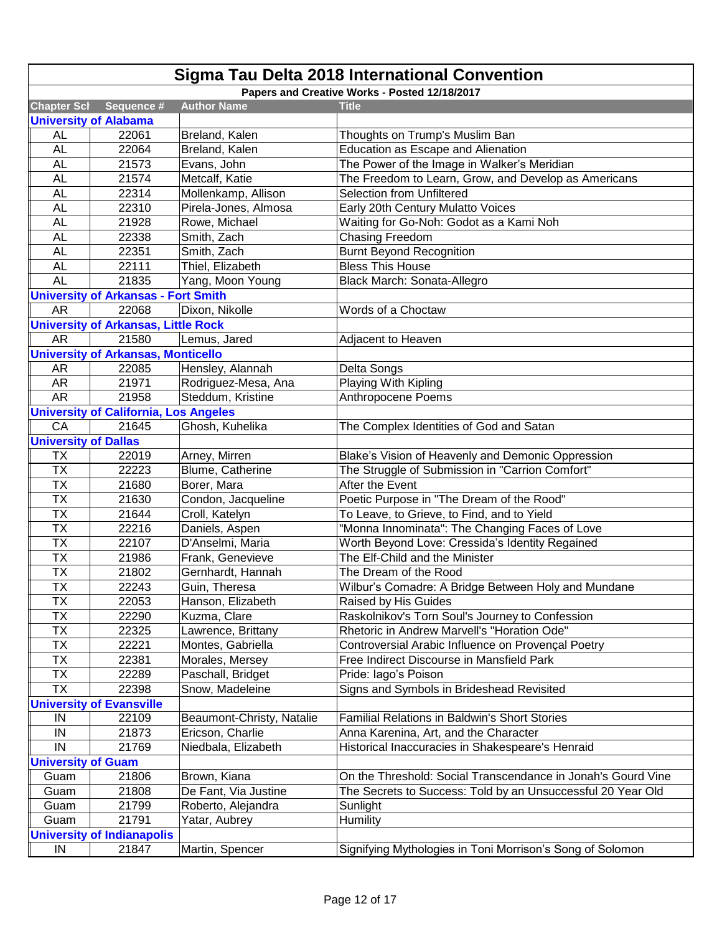| Papers and Creative Works - Posted 12/18/2017<br><b>Chapter Scl</b><br>Sequence #<br><b>Author Name</b><br><b>Title</b><br><b>University of Alabama</b><br>22061<br><b>AL</b><br>Breland, Kalen<br>Thoughts on Trump's Muslim Ban<br><b>AL</b><br>Education as Escape and Alienation<br>22064<br>Breland, Kalen<br>21573<br>The Power of the Image in Walker's Meridian<br><b>AL</b><br>Evans, John<br><b>AL</b><br>21574<br>Metcalf, Katie<br>The Freedom to Learn, Grow, and Develop as Americans<br>22314<br>Selection from Unfiltered<br><b>AL</b><br>Mollenkamp, Allison<br>22310<br>Early 20th Century Mulatto Voices<br><b>AL</b><br>Pirela-Jones, Almosa<br>Waiting for Go-Noh: Godot as a Kami Noh<br><b>AL</b><br>21928<br>Rowe, Michael<br><b>Chasing Freedom</b><br><b>AL</b><br>22338<br>Smith, Zach<br>22351<br><b>AL</b><br>Smith, Zach<br><b>Burnt Beyond Recognition</b><br>22111<br><b>Bless This House</b><br><b>AL</b><br>Thiel, Elizabeth<br><b>AL</b><br>21835<br>Yang, Moon Young<br>Black March: Sonata-Allegro<br><b>University of Arkansas - Fort Smith</b><br><b>AR</b><br>22068<br>Dixon, Nikolle<br>Words of a Choctaw<br><b>University of Arkansas, Little Rock</b><br>21580<br>Lemus, Jared<br><b>AR</b><br>Adjacent to Heaven<br><b>University of Arkansas, Monticello</b><br>Hensley, Alannah<br>AR<br>22085<br>Delta Songs<br><b>AR</b><br>21971<br>Rodriguez-Mesa, Ana<br>Playing With Kipling<br><b>AR</b><br>21958<br>Steddum, Kristine<br>Anthropocene Poems<br><b>University of California, Los Angeles</b><br>CA<br>21645<br>Ghosh, Kuhelika<br>The Complex Identities of God and Satan<br><b>University of Dallas</b><br>Arney, Mirren<br>Blake's Vision of Heavenly and Demonic Oppression<br><b>TX</b><br>22019<br><b>TX</b><br>22223<br>Blume, Catherine<br>The Struggle of Submission in "Carrion Comfort"<br><b>TX</b><br>Borer, Mara<br>21680<br>After the Event<br><b>TX</b><br>21630<br>Poetic Purpose in "The Dream of the Rood"<br>Condon, Jacqueline<br><b>TX</b><br>21644<br>Croll, Katelyn<br>To Leave, to Grieve, to Find, and to Yield<br><b>TX</b><br>22216<br>"Monna Innominata": The Changing Faces of Love<br>Daniels, Aspen<br><b>TX</b><br>22107<br>D'Anselmi, Maria<br>Worth Beyond Love: Cressida's Identity Regained<br><b>TX</b><br>The Elf-Child and the Minister<br>21986<br>Frank, Genevieve<br><b>ΤX</b><br>21802<br>Gernhardt, Hannah<br>The Dream of the Rood<br><b>TX</b><br>22243<br>Wilbur's Comadre: A Bridge Between Holy and Mundane<br>Guin, Theresa<br><b>TX</b><br>22053<br>Hanson, Elizabeth<br>Raised by His Guides<br>TX<br>22290<br>Raskolnikov's Torn Soul's Journey to Confession<br>Kuzma, Clare<br><b>TX</b><br>Lawrence, Brittany<br>Rhetoric in Andrew Marvell's "Horation Ode"<br>22325<br>Controversial Arabic Influence on Provençal Poetry<br><b>TX</b><br>22221<br>Montes, Gabriella<br>TX<br>22381<br>Morales, Mersey<br>Free Indirect Discourse in Mansfield Park<br>TX<br>22289<br>Pride: lago's Poison<br>Paschall, Bridget<br><b>TX</b><br>Signs and Symbols in Brideshead Revisited<br>22398<br>Snow, Madeleine<br><b>University of Evansville</b><br>22109<br>Beaumont-Christy, Natalie<br><b>Familial Relations in Baldwin's Short Stories</b><br>IN<br>IN<br>21873<br>Ericson, Charlie<br>Anna Karenina, Art, and the Character<br>IN<br>21769<br>Niedbala, Elizabeth<br>Historical Inaccuracies in Shakespeare's Henraid<br><b>University of Guam</b><br>21806<br>Brown, Kiana<br>On the Threshold: Social Transcendance in Jonah's Gourd Vine<br>Guam | <b>Sigma Tau Delta 2018 International Convention</b> |  |  |  |  |  |
|------------------------------------------------------------------------------------------------------------------------------------------------------------------------------------------------------------------------------------------------------------------------------------------------------------------------------------------------------------------------------------------------------------------------------------------------------------------------------------------------------------------------------------------------------------------------------------------------------------------------------------------------------------------------------------------------------------------------------------------------------------------------------------------------------------------------------------------------------------------------------------------------------------------------------------------------------------------------------------------------------------------------------------------------------------------------------------------------------------------------------------------------------------------------------------------------------------------------------------------------------------------------------------------------------------------------------------------------------------------------------------------------------------------------------------------------------------------------------------------------------------------------------------------------------------------------------------------------------------------------------------------------------------------------------------------------------------------------------------------------------------------------------------------------------------------------------------------------------------------------------------------------------------------------------------------------------------------------------------------------------------------------------------------------------------------------------------------------------------------------------------------------------------------------------------------------------------------------------------------------------------------------------------------------------------------------------------------------------------------------------------------------------------------------------------------------------------------------------------------------------------------------------------------------------------------------------------------------------------------------------------------------------------------------------------------------------------------------------------------------------------------------------------------------------------------------------------------------------------------------------------------------------------------------------------------------------------------------------------------------------------------------------------------------------------------------------------------------------------------------------------------------------------------------------------------------------------------------------------------------------------------------------------------------------------------------------------------------------------------------------------------------------------------------------------------------------------------------------------------------------------------------------------------------------------------|------------------------------------------------------|--|--|--|--|--|
|                                                                                                                                                                                                                                                                                                                                                                                                                                                                                                                                                                                                                                                                                                                                                                                                                                                                                                                                                                                                                                                                                                                                                                                                                                                                                                                                                                                                                                                                                                                                                                                                                                                                                                                                                                                                                                                                                                                                                                                                                                                                                                                                                                                                                                                                                                                                                                                                                                                                                                                                                                                                                                                                                                                                                                                                                                                                                                                                                                                                                                                                                                                                                                                                                                                                                                                                                                                                                                                                                                                                                                  |                                                      |  |  |  |  |  |
|                                                                                                                                                                                                                                                                                                                                                                                                                                                                                                                                                                                                                                                                                                                                                                                                                                                                                                                                                                                                                                                                                                                                                                                                                                                                                                                                                                                                                                                                                                                                                                                                                                                                                                                                                                                                                                                                                                                                                                                                                                                                                                                                                                                                                                                                                                                                                                                                                                                                                                                                                                                                                                                                                                                                                                                                                                                                                                                                                                                                                                                                                                                                                                                                                                                                                                                                                                                                                                                                                                                                                                  |                                                      |  |  |  |  |  |
|                                                                                                                                                                                                                                                                                                                                                                                                                                                                                                                                                                                                                                                                                                                                                                                                                                                                                                                                                                                                                                                                                                                                                                                                                                                                                                                                                                                                                                                                                                                                                                                                                                                                                                                                                                                                                                                                                                                                                                                                                                                                                                                                                                                                                                                                                                                                                                                                                                                                                                                                                                                                                                                                                                                                                                                                                                                                                                                                                                                                                                                                                                                                                                                                                                                                                                                                                                                                                                                                                                                                                                  |                                                      |  |  |  |  |  |
|                                                                                                                                                                                                                                                                                                                                                                                                                                                                                                                                                                                                                                                                                                                                                                                                                                                                                                                                                                                                                                                                                                                                                                                                                                                                                                                                                                                                                                                                                                                                                                                                                                                                                                                                                                                                                                                                                                                                                                                                                                                                                                                                                                                                                                                                                                                                                                                                                                                                                                                                                                                                                                                                                                                                                                                                                                                                                                                                                                                                                                                                                                                                                                                                                                                                                                                                                                                                                                                                                                                                                                  |                                                      |  |  |  |  |  |
|                                                                                                                                                                                                                                                                                                                                                                                                                                                                                                                                                                                                                                                                                                                                                                                                                                                                                                                                                                                                                                                                                                                                                                                                                                                                                                                                                                                                                                                                                                                                                                                                                                                                                                                                                                                                                                                                                                                                                                                                                                                                                                                                                                                                                                                                                                                                                                                                                                                                                                                                                                                                                                                                                                                                                                                                                                                                                                                                                                                                                                                                                                                                                                                                                                                                                                                                                                                                                                                                                                                                                                  |                                                      |  |  |  |  |  |
|                                                                                                                                                                                                                                                                                                                                                                                                                                                                                                                                                                                                                                                                                                                                                                                                                                                                                                                                                                                                                                                                                                                                                                                                                                                                                                                                                                                                                                                                                                                                                                                                                                                                                                                                                                                                                                                                                                                                                                                                                                                                                                                                                                                                                                                                                                                                                                                                                                                                                                                                                                                                                                                                                                                                                                                                                                                                                                                                                                                                                                                                                                                                                                                                                                                                                                                                                                                                                                                                                                                                                                  |                                                      |  |  |  |  |  |
|                                                                                                                                                                                                                                                                                                                                                                                                                                                                                                                                                                                                                                                                                                                                                                                                                                                                                                                                                                                                                                                                                                                                                                                                                                                                                                                                                                                                                                                                                                                                                                                                                                                                                                                                                                                                                                                                                                                                                                                                                                                                                                                                                                                                                                                                                                                                                                                                                                                                                                                                                                                                                                                                                                                                                                                                                                                                                                                                                                                                                                                                                                                                                                                                                                                                                                                                                                                                                                                                                                                                                                  |                                                      |  |  |  |  |  |
|                                                                                                                                                                                                                                                                                                                                                                                                                                                                                                                                                                                                                                                                                                                                                                                                                                                                                                                                                                                                                                                                                                                                                                                                                                                                                                                                                                                                                                                                                                                                                                                                                                                                                                                                                                                                                                                                                                                                                                                                                                                                                                                                                                                                                                                                                                                                                                                                                                                                                                                                                                                                                                                                                                                                                                                                                                                                                                                                                                                                                                                                                                                                                                                                                                                                                                                                                                                                                                                                                                                                                                  |                                                      |  |  |  |  |  |
|                                                                                                                                                                                                                                                                                                                                                                                                                                                                                                                                                                                                                                                                                                                                                                                                                                                                                                                                                                                                                                                                                                                                                                                                                                                                                                                                                                                                                                                                                                                                                                                                                                                                                                                                                                                                                                                                                                                                                                                                                                                                                                                                                                                                                                                                                                                                                                                                                                                                                                                                                                                                                                                                                                                                                                                                                                                                                                                                                                                                                                                                                                                                                                                                                                                                                                                                                                                                                                                                                                                                                                  |                                                      |  |  |  |  |  |
|                                                                                                                                                                                                                                                                                                                                                                                                                                                                                                                                                                                                                                                                                                                                                                                                                                                                                                                                                                                                                                                                                                                                                                                                                                                                                                                                                                                                                                                                                                                                                                                                                                                                                                                                                                                                                                                                                                                                                                                                                                                                                                                                                                                                                                                                                                                                                                                                                                                                                                                                                                                                                                                                                                                                                                                                                                                                                                                                                                                                                                                                                                                                                                                                                                                                                                                                                                                                                                                                                                                                                                  |                                                      |  |  |  |  |  |
|                                                                                                                                                                                                                                                                                                                                                                                                                                                                                                                                                                                                                                                                                                                                                                                                                                                                                                                                                                                                                                                                                                                                                                                                                                                                                                                                                                                                                                                                                                                                                                                                                                                                                                                                                                                                                                                                                                                                                                                                                                                                                                                                                                                                                                                                                                                                                                                                                                                                                                                                                                                                                                                                                                                                                                                                                                                                                                                                                                                                                                                                                                                                                                                                                                                                                                                                                                                                                                                                                                                                                                  |                                                      |  |  |  |  |  |
|                                                                                                                                                                                                                                                                                                                                                                                                                                                                                                                                                                                                                                                                                                                                                                                                                                                                                                                                                                                                                                                                                                                                                                                                                                                                                                                                                                                                                                                                                                                                                                                                                                                                                                                                                                                                                                                                                                                                                                                                                                                                                                                                                                                                                                                                                                                                                                                                                                                                                                                                                                                                                                                                                                                                                                                                                                                                                                                                                                                                                                                                                                                                                                                                                                                                                                                                                                                                                                                                                                                                                                  |                                                      |  |  |  |  |  |
|                                                                                                                                                                                                                                                                                                                                                                                                                                                                                                                                                                                                                                                                                                                                                                                                                                                                                                                                                                                                                                                                                                                                                                                                                                                                                                                                                                                                                                                                                                                                                                                                                                                                                                                                                                                                                                                                                                                                                                                                                                                                                                                                                                                                                                                                                                                                                                                                                                                                                                                                                                                                                                                                                                                                                                                                                                                                                                                                                                                                                                                                                                                                                                                                                                                                                                                                                                                                                                                                                                                                                                  |                                                      |  |  |  |  |  |
|                                                                                                                                                                                                                                                                                                                                                                                                                                                                                                                                                                                                                                                                                                                                                                                                                                                                                                                                                                                                                                                                                                                                                                                                                                                                                                                                                                                                                                                                                                                                                                                                                                                                                                                                                                                                                                                                                                                                                                                                                                                                                                                                                                                                                                                                                                                                                                                                                                                                                                                                                                                                                                                                                                                                                                                                                                                                                                                                                                                                                                                                                                                                                                                                                                                                                                                                                                                                                                                                                                                                                                  |                                                      |  |  |  |  |  |
|                                                                                                                                                                                                                                                                                                                                                                                                                                                                                                                                                                                                                                                                                                                                                                                                                                                                                                                                                                                                                                                                                                                                                                                                                                                                                                                                                                                                                                                                                                                                                                                                                                                                                                                                                                                                                                                                                                                                                                                                                                                                                                                                                                                                                                                                                                                                                                                                                                                                                                                                                                                                                                                                                                                                                                                                                                                                                                                                                                                                                                                                                                                                                                                                                                                                                                                                                                                                                                                                                                                                                                  |                                                      |  |  |  |  |  |
|                                                                                                                                                                                                                                                                                                                                                                                                                                                                                                                                                                                                                                                                                                                                                                                                                                                                                                                                                                                                                                                                                                                                                                                                                                                                                                                                                                                                                                                                                                                                                                                                                                                                                                                                                                                                                                                                                                                                                                                                                                                                                                                                                                                                                                                                                                                                                                                                                                                                                                                                                                                                                                                                                                                                                                                                                                                                                                                                                                                                                                                                                                                                                                                                                                                                                                                                                                                                                                                                                                                                                                  |                                                      |  |  |  |  |  |
|                                                                                                                                                                                                                                                                                                                                                                                                                                                                                                                                                                                                                                                                                                                                                                                                                                                                                                                                                                                                                                                                                                                                                                                                                                                                                                                                                                                                                                                                                                                                                                                                                                                                                                                                                                                                                                                                                                                                                                                                                                                                                                                                                                                                                                                                                                                                                                                                                                                                                                                                                                                                                                                                                                                                                                                                                                                                                                                                                                                                                                                                                                                                                                                                                                                                                                                                                                                                                                                                                                                                                                  |                                                      |  |  |  |  |  |
|                                                                                                                                                                                                                                                                                                                                                                                                                                                                                                                                                                                                                                                                                                                                                                                                                                                                                                                                                                                                                                                                                                                                                                                                                                                                                                                                                                                                                                                                                                                                                                                                                                                                                                                                                                                                                                                                                                                                                                                                                                                                                                                                                                                                                                                                                                                                                                                                                                                                                                                                                                                                                                                                                                                                                                                                                                                                                                                                                                                                                                                                                                                                                                                                                                                                                                                                                                                                                                                                                                                                                                  |                                                      |  |  |  |  |  |
|                                                                                                                                                                                                                                                                                                                                                                                                                                                                                                                                                                                                                                                                                                                                                                                                                                                                                                                                                                                                                                                                                                                                                                                                                                                                                                                                                                                                                                                                                                                                                                                                                                                                                                                                                                                                                                                                                                                                                                                                                                                                                                                                                                                                                                                                                                                                                                                                                                                                                                                                                                                                                                                                                                                                                                                                                                                                                                                                                                                                                                                                                                                                                                                                                                                                                                                                                                                                                                                                                                                                                                  |                                                      |  |  |  |  |  |
|                                                                                                                                                                                                                                                                                                                                                                                                                                                                                                                                                                                                                                                                                                                                                                                                                                                                                                                                                                                                                                                                                                                                                                                                                                                                                                                                                                                                                                                                                                                                                                                                                                                                                                                                                                                                                                                                                                                                                                                                                                                                                                                                                                                                                                                                                                                                                                                                                                                                                                                                                                                                                                                                                                                                                                                                                                                                                                                                                                                                                                                                                                                                                                                                                                                                                                                                                                                                                                                                                                                                                                  |                                                      |  |  |  |  |  |
|                                                                                                                                                                                                                                                                                                                                                                                                                                                                                                                                                                                                                                                                                                                                                                                                                                                                                                                                                                                                                                                                                                                                                                                                                                                                                                                                                                                                                                                                                                                                                                                                                                                                                                                                                                                                                                                                                                                                                                                                                                                                                                                                                                                                                                                                                                                                                                                                                                                                                                                                                                                                                                                                                                                                                                                                                                                                                                                                                                                                                                                                                                                                                                                                                                                                                                                                                                                                                                                                                                                                                                  |                                                      |  |  |  |  |  |
|                                                                                                                                                                                                                                                                                                                                                                                                                                                                                                                                                                                                                                                                                                                                                                                                                                                                                                                                                                                                                                                                                                                                                                                                                                                                                                                                                                                                                                                                                                                                                                                                                                                                                                                                                                                                                                                                                                                                                                                                                                                                                                                                                                                                                                                                                                                                                                                                                                                                                                                                                                                                                                                                                                                                                                                                                                                                                                                                                                                                                                                                                                                                                                                                                                                                                                                                                                                                                                                                                                                                                                  |                                                      |  |  |  |  |  |
|                                                                                                                                                                                                                                                                                                                                                                                                                                                                                                                                                                                                                                                                                                                                                                                                                                                                                                                                                                                                                                                                                                                                                                                                                                                                                                                                                                                                                                                                                                                                                                                                                                                                                                                                                                                                                                                                                                                                                                                                                                                                                                                                                                                                                                                                                                                                                                                                                                                                                                                                                                                                                                                                                                                                                                                                                                                                                                                                                                                                                                                                                                                                                                                                                                                                                                                                                                                                                                                                                                                                                                  |                                                      |  |  |  |  |  |
|                                                                                                                                                                                                                                                                                                                                                                                                                                                                                                                                                                                                                                                                                                                                                                                                                                                                                                                                                                                                                                                                                                                                                                                                                                                                                                                                                                                                                                                                                                                                                                                                                                                                                                                                                                                                                                                                                                                                                                                                                                                                                                                                                                                                                                                                                                                                                                                                                                                                                                                                                                                                                                                                                                                                                                                                                                                                                                                                                                                                                                                                                                                                                                                                                                                                                                                                                                                                                                                                                                                                                                  |                                                      |  |  |  |  |  |
|                                                                                                                                                                                                                                                                                                                                                                                                                                                                                                                                                                                                                                                                                                                                                                                                                                                                                                                                                                                                                                                                                                                                                                                                                                                                                                                                                                                                                                                                                                                                                                                                                                                                                                                                                                                                                                                                                                                                                                                                                                                                                                                                                                                                                                                                                                                                                                                                                                                                                                                                                                                                                                                                                                                                                                                                                                                                                                                                                                                                                                                                                                                                                                                                                                                                                                                                                                                                                                                                                                                                                                  |                                                      |  |  |  |  |  |
|                                                                                                                                                                                                                                                                                                                                                                                                                                                                                                                                                                                                                                                                                                                                                                                                                                                                                                                                                                                                                                                                                                                                                                                                                                                                                                                                                                                                                                                                                                                                                                                                                                                                                                                                                                                                                                                                                                                                                                                                                                                                                                                                                                                                                                                                                                                                                                                                                                                                                                                                                                                                                                                                                                                                                                                                                                                                                                                                                                                                                                                                                                                                                                                                                                                                                                                                                                                                                                                                                                                                                                  |                                                      |  |  |  |  |  |
|                                                                                                                                                                                                                                                                                                                                                                                                                                                                                                                                                                                                                                                                                                                                                                                                                                                                                                                                                                                                                                                                                                                                                                                                                                                                                                                                                                                                                                                                                                                                                                                                                                                                                                                                                                                                                                                                                                                                                                                                                                                                                                                                                                                                                                                                                                                                                                                                                                                                                                                                                                                                                                                                                                                                                                                                                                                                                                                                                                                                                                                                                                                                                                                                                                                                                                                                                                                                                                                                                                                                                                  |                                                      |  |  |  |  |  |
|                                                                                                                                                                                                                                                                                                                                                                                                                                                                                                                                                                                                                                                                                                                                                                                                                                                                                                                                                                                                                                                                                                                                                                                                                                                                                                                                                                                                                                                                                                                                                                                                                                                                                                                                                                                                                                                                                                                                                                                                                                                                                                                                                                                                                                                                                                                                                                                                                                                                                                                                                                                                                                                                                                                                                                                                                                                                                                                                                                                                                                                                                                                                                                                                                                                                                                                                                                                                                                                                                                                                                                  |                                                      |  |  |  |  |  |
|                                                                                                                                                                                                                                                                                                                                                                                                                                                                                                                                                                                                                                                                                                                                                                                                                                                                                                                                                                                                                                                                                                                                                                                                                                                                                                                                                                                                                                                                                                                                                                                                                                                                                                                                                                                                                                                                                                                                                                                                                                                                                                                                                                                                                                                                                                                                                                                                                                                                                                                                                                                                                                                                                                                                                                                                                                                                                                                                                                                                                                                                                                                                                                                                                                                                                                                                                                                                                                                                                                                                                                  |                                                      |  |  |  |  |  |
|                                                                                                                                                                                                                                                                                                                                                                                                                                                                                                                                                                                                                                                                                                                                                                                                                                                                                                                                                                                                                                                                                                                                                                                                                                                                                                                                                                                                                                                                                                                                                                                                                                                                                                                                                                                                                                                                                                                                                                                                                                                                                                                                                                                                                                                                                                                                                                                                                                                                                                                                                                                                                                                                                                                                                                                                                                                                                                                                                                                                                                                                                                                                                                                                                                                                                                                                                                                                                                                                                                                                                                  |                                                      |  |  |  |  |  |
|                                                                                                                                                                                                                                                                                                                                                                                                                                                                                                                                                                                                                                                                                                                                                                                                                                                                                                                                                                                                                                                                                                                                                                                                                                                                                                                                                                                                                                                                                                                                                                                                                                                                                                                                                                                                                                                                                                                                                                                                                                                                                                                                                                                                                                                                                                                                                                                                                                                                                                                                                                                                                                                                                                                                                                                                                                                                                                                                                                                                                                                                                                                                                                                                                                                                                                                                                                                                                                                                                                                                                                  |                                                      |  |  |  |  |  |
|                                                                                                                                                                                                                                                                                                                                                                                                                                                                                                                                                                                                                                                                                                                                                                                                                                                                                                                                                                                                                                                                                                                                                                                                                                                                                                                                                                                                                                                                                                                                                                                                                                                                                                                                                                                                                                                                                                                                                                                                                                                                                                                                                                                                                                                                                                                                                                                                                                                                                                                                                                                                                                                                                                                                                                                                                                                                                                                                                                                                                                                                                                                                                                                                                                                                                                                                                                                                                                                                                                                                                                  |                                                      |  |  |  |  |  |
|                                                                                                                                                                                                                                                                                                                                                                                                                                                                                                                                                                                                                                                                                                                                                                                                                                                                                                                                                                                                                                                                                                                                                                                                                                                                                                                                                                                                                                                                                                                                                                                                                                                                                                                                                                                                                                                                                                                                                                                                                                                                                                                                                                                                                                                                                                                                                                                                                                                                                                                                                                                                                                                                                                                                                                                                                                                                                                                                                                                                                                                                                                                                                                                                                                                                                                                                                                                                                                                                                                                                                                  |                                                      |  |  |  |  |  |
|                                                                                                                                                                                                                                                                                                                                                                                                                                                                                                                                                                                                                                                                                                                                                                                                                                                                                                                                                                                                                                                                                                                                                                                                                                                                                                                                                                                                                                                                                                                                                                                                                                                                                                                                                                                                                                                                                                                                                                                                                                                                                                                                                                                                                                                                                                                                                                                                                                                                                                                                                                                                                                                                                                                                                                                                                                                                                                                                                                                                                                                                                                                                                                                                                                                                                                                                                                                                                                                                                                                                                                  |                                                      |  |  |  |  |  |
|                                                                                                                                                                                                                                                                                                                                                                                                                                                                                                                                                                                                                                                                                                                                                                                                                                                                                                                                                                                                                                                                                                                                                                                                                                                                                                                                                                                                                                                                                                                                                                                                                                                                                                                                                                                                                                                                                                                                                                                                                                                                                                                                                                                                                                                                                                                                                                                                                                                                                                                                                                                                                                                                                                                                                                                                                                                                                                                                                                                                                                                                                                                                                                                                                                                                                                                                                                                                                                                                                                                                                                  |                                                      |  |  |  |  |  |
|                                                                                                                                                                                                                                                                                                                                                                                                                                                                                                                                                                                                                                                                                                                                                                                                                                                                                                                                                                                                                                                                                                                                                                                                                                                                                                                                                                                                                                                                                                                                                                                                                                                                                                                                                                                                                                                                                                                                                                                                                                                                                                                                                                                                                                                                                                                                                                                                                                                                                                                                                                                                                                                                                                                                                                                                                                                                                                                                                                                                                                                                                                                                                                                                                                                                                                                                                                                                                                                                                                                                                                  |                                                      |  |  |  |  |  |
|                                                                                                                                                                                                                                                                                                                                                                                                                                                                                                                                                                                                                                                                                                                                                                                                                                                                                                                                                                                                                                                                                                                                                                                                                                                                                                                                                                                                                                                                                                                                                                                                                                                                                                                                                                                                                                                                                                                                                                                                                                                                                                                                                                                                                                                                                                                                                                                                                                                                                                                                                                                                                                                                                                                                                                                                                                                                                                                                                                                                                                                                                                                                                                                                                                                                                                                                                                                                                                                                                                                                                                  |                                                      |  |  |  |  |  |
|                                                                                                                                                                                                                                                                                                                                                                                                                                                                                                                                                                                                                                                                                                                                                                                                                                                                                                                                                                                                                                                                                                                                                                                                                                                                                                                                                                                                                                                                                                                                                                                                                                                                                                                                                                                                                                                                                                                                                                                                                                                                                                                                                                                                                                                                                                                                                                                                                                                                                                                                                                                                                                                                                                                                                                                                                                                                                                                                                                                                                                                                                                                                                                                                                                                                                                                                                                                                                                                                                                                                                                  |                                                      |  |  |  |  |  |
|                                                                                                                                                                                                                                                                                                                                                                                                                                                                                                                                                                                                                                                                                                                                                                                                                                                                                                                                                                                                                                                                                                                                                                                                                                                                                                                                                                                                                                                                                                                                                                                                                                                                                                                                                                                                                                                                                                                                                                                                                                                                                                                                                                                                                                                                                                                                                                                                                                                                                                                                                                                                                                                                                                                                                                                                                                                                                                                                                                                                                                                                                                                                                                                                                                                                                                                                                                                                                                                                                                                                                                  |                                                      |  |  |  |  |  |
|                                                                                                                                                                                                                                                                                                                                                                                                                                                                                                                                                                                                                                                                                                                                                                                                                                                                                                                                                                                                                                                                                                                                                                                                                                                                                                                                                                                                                                                                                                                                                                                                                                                                                                                                                                                                                                                                                                                                                                                                                                                                                                                                                                                                                                                                                                                                                                                                                                                                                                                                                                                                                                                                                                                                                                                                                                                                                                                                                                                                                                                                                                                                                                                                                                                                                                                                                                                                                                                                                                                                                                  |                                                      |  |  |  |  |  |
|                                                                                                                                                                                                                                                                                                                                                                                                                                                                                                                                                                                                                                                                                                                                                                                                                                                                                                                                                                                                                                                                                                                                                                                                                                                                                                                                                                                                                                                                                                                                                                                                                                                                                                                                                                                                                                                                                                                                                                                                                                                                                                                                                                                                                                                                                                                                                                                                                                                                                                                                                                                                                                                                                                                                                                                                                                                                                                                                                                                                                                                                                                                                                                                                                                                                                                                                                                                                                                                                                                                                                                  |                                                      |  |  |  |  |  |
|                                                                                                                                                                                                                                                                                                                                                                                                                                                                                                                                                                                                                                                                                                                                                                                                                                                                                                                                                                                                                                                                                                                                                                                                                                                                                                                                                                                                                                                                                                                                                                                                                                                                                                                                                                                                                                                                                                                                                                                                                                                                                                                                                                                                                                                                                                                                                                                                                                                                                                                                                                                                                                                                                                                                                                                                                                                                                                                                                                                                                                                                                                                                                                                                                                                                                                                                                                                                                                                                                                                                                                  |                                                      |  |  |  |  |  |
|                                                                                                                                                                                                                                                                                                                                                                                                                                                                                                                                                                                                                                                                                                                                                                                                                                                                                                                                                                                                                                                                                                                                                                                                                                                                                                                                                                                                                                                                                                                                                                                                                                                                                                                                                                                                                                                                                                                                                                                                                                                                                                                                                                                                                                                                                                                                                                                                                                                                                                                                                                                                                                                                                                                                                                                                                                                                                                                                                                                                                                                                                                                                                                                                                                                                                                                                                                                                                                                                                                                                                                  |                                                      |  |  |  |  |  |
|                                                                                                                                                                                                                                                                                                                                                                                                                                                                                                                                                                                                                                                                                                                                                                                                                                                                                                                                                                                                                                                                                                                                                                                                                                                                                                                                                                                                                                                                                                                                                                                                                                                                                                                                                                                                                                                                                                                                                                                                                                                                                                                                                                                                                                                                                                                                                                                                                                                                                                                                                                                                                                                                                                                                                                                                                                                                                                                                                                                                                                                                                                                                                                                                                                                                                                                                                                                                                                                                                                                                                                  |                                                      |  |  |  |  |  |
|                                                                                                                                                                                                                                                                                                                                                                                                                                                                                                                                                                                                                                                                                                                                                                                                                                                                                                                                                                                                                                                                                                                                                                                                                                                                                                                                                                                                                                                                                                                                                                                                                                                                                                                                                                                                                                                                                                                                                                                                                                                                                                                                                                                                                                                                                                                                                                                                                                                                                                                                                                                                                                                                                                                                                                                                                                                                                                                                                                                                                                                                                                                                                                                                                                                                                                                                                                                                                                                                                                                                                                  |                                                      |  |  |  |  |  |
|                                                                                                                                                                                                                                                                                                                                                                                                                                                                                                                                                                                                                                                                                                                                                                                                                                                                                                                                                                                                                                                                                                                                                                                                                                                                                                                                                                                                                                                                                                                                                                                                                                                                                                                                                                                                                                                                                                                                                                                                                                                                                                                                                                                                                                                                                                                                                                                                                                                                                                                                                                                                                                                                                                                                                                                                                                                                                                                                                                                                                                                                                                                                                                                                                                                                                                                                                                                                                                                                                                                                                                  |                                                      |  |  |  |  |  |
|                                                                                                                                                                                                                                                                                                                                                                                                                                                                                                                                                                                                                                                                                                                                                                                                                                                                                                                                                                                                                                                                                                                                                                                                                                                                                                                                                                                                                                                                                                                                                                                                                                                                                                                                                                                                                                                                                                                                                                                                                                                                                                                                                                                                                                                                                                                                                                                                                                                                                                                                                                                                                                                                                                                                                                                                                                                                                                                                                                                                                                                                                                                                                                                                                                                                                                                                                                                                                                                                                                                                                                  |                                                      |  |  |  |  |  |
|                                                                                                                                                                                                                                                                                                                                                                                                                                                                                                                                                                                                                                                                                                                                                                                                                                                                                                                                                                                                                                                                                                                                                                                                                                                                                                                                                                                                                                                                                                                                                                                                                                                                                                                                                                                                                                                                                                                                                                                                                                                                                                                                                                                                                                                                                                                                                                                                                                                                                                                                                                                                                                                                                                                                                                                                                                                                                                                                                                                                                                                                                                                                                                                                                                                                                                                                                                                                                                                                                                                                                                  |                                                      |  |  |  |  |  |
| The Secrets to Success: Told by an Unsuccessful 20 Year Old<br>21808<br>De Fant, Via Justine<br>Guam                                                                                                                                                                                                                                                                                                                                                                                                                                                                                                                                                                                                                                                                                                                                                                                                                                                                                                                                                                                                                                                                                                                                                                                                                                                                                                                                                                                                                                                                                                                                                                                                                                                                                                                                                                                                                                                                                                                                                                                                                                                                                                                                                                                                                                                                                                                                                                                                                                                                                                                                                                                                                                                                                                                                                                                                                                                                                                                                                                                                                                                                                                                                                                                                                                                                                                                                                                                                                                                             |                                                      |  |  |  |  |  |
| 21799<br>Guam<br>Roberto, Alejandra<br>Sunlight                                                                                                                                                                                                                                                                                                                                                                                                                                                                                                                                                                                                                                                                                                                                                                                                                                                                                                                                                                                                                                                                                                                                                                                                                                                                                                                                                                                                                                                                                                                                                                                                                                                                                                                                                                                                                                                                                                                                                                                                                                                                                                                                                                                                                                                                                                                                                                                                                                                                                                                                                                                                                                                                                                                                                                                                                                                                                                                                                                                                                                                                                                                                                                                                                                                                                                                                                                                                                                                                                                                  |                                                      |  |  |  |  |  |
| 21791<br>Guam<br>Yatar, Aubrey<br>Humility                                                                                                                                                                                                                                                                                                                                                                                                                                                                                                                                                                                                                                                                                                                                                                                                                                                                                                                                                                                                                                                                                                                                                                                                                                                                                                                                                                                                                                                                                                                                                                                                                                                                                                                                                                                                                                                                                                                                                                                                                                                                                                                                                                                                                                                                                                                                                                                                                                                                                                                                                                                                                                                                                                                                                                                                                                                                                                                                                                                                                                                                                                                                                                                                                                                                                                                                                                                                                                                                                                                       |                                                      |  |  |  |  |  |
| <b>University of Indianapolis</b>                                                                                                                                                                                                                                                                                                                                                                                                                                                                                                                                                                                                                                                                                                                                                                                                                                                                                                                                                                                                                                                                                                                                                                                                                                                                                                                                                                                                                                                                                                                                                                                                                                                                                                                                                                                                                                                                                                                                                                                                                                                                                                                                                                                                                                                                                                                                                                                                                                                                                                                                                                                                                                                                                                                                                                                                                                                                                                                                                                                                                                                                                                                                                                                                                                                                                                                                                                                                                                                                                                                                |                                                      |  |  |  |  |  |
| IN<br>Signifying Mythologies in Toni Morrison's Song of Solomon<br>21847<br>Martin, Spencer                                                                                                                                                                                                                                                                                                                                                                                                                                                                                                                                                                                                                                                                                                                                                                                                                                                                                                                                                                                                                                                                                                                                                                                                                                                                                                                                                                                                                                                                                                                                                                                                                                                                                                                                                                                                                                                                                                                                                                                                                                                                                                                                                                                                                                                                                                                                                                                                                                                                                                                                                                                                                                                                                                                                                                                                                                                                                                                                                                                                                                                                                                                                                                                                                                                                                                                                                                                                                                                                      |                                                      |  |  |  |  |  |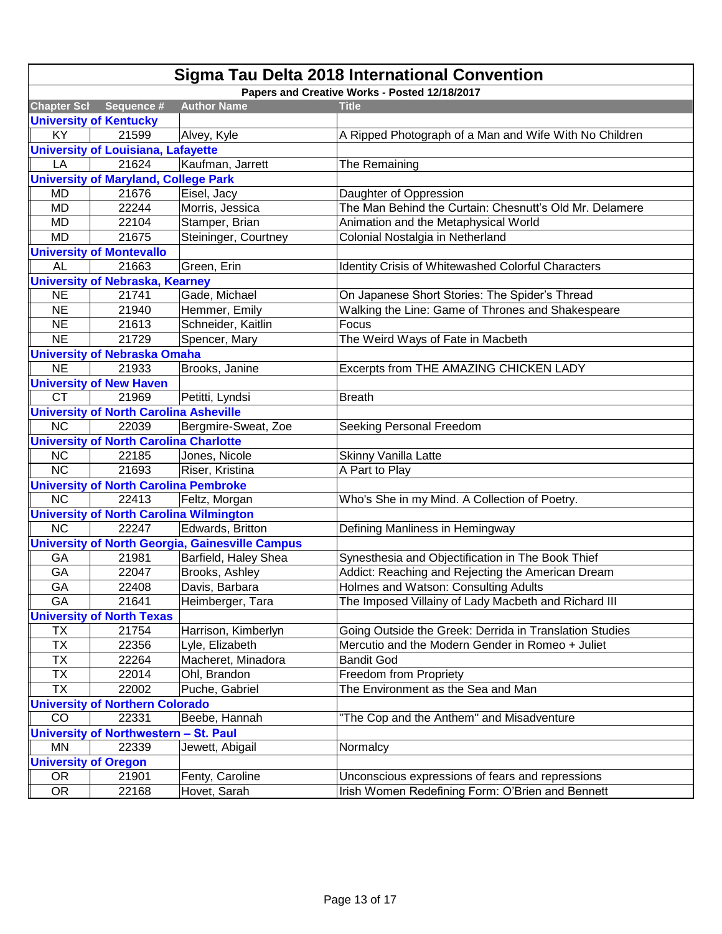| Sigma Tau Delta 2018 International Convention |                                                |                                                        |                                                         |
|-----------------------------------------------|------------------------------------------------|--------------------------------------------------------|---------------------------------------------------------|
| Papers and Creative Works - Posted 12/18/2017 |                                                |                                                        |                                                         |
| <b>Chapter Scl</b>                            | Sequence #                                     | <b>Author Name</b>                                     | <b>Title</b>                                            |
|                                               | <b>University of Kentucky</b>                  |                                                        |                                                         |
| KY                                            | 21599                                          | Alvey, Kyle                                            | A Ripped Photograph of a Man and Wife With No Children  |
|                                               | <b>University of Louisiana, Lafayette</b>      |                                                        |                                                         |
| LA                                            | 21624                                          | Kaufman, Jarrett                                       | The Remaining                                           |
|                                               | <b>University of Maryland, College Park</b>    |                                                        |                                                         |
| MD                                            | 21676                                          | Eisel, Jacy                                            | Daughter of Oppression                                  |
| <b>MD</b>                                     | 22244                                          | Morris, Jessica                                        | The Man Behind the Curtain: Chesnutt's Old Mr. Delamere |
| <b>MD</b>                                     | 22104                                          | Stamper, Brian                                         | Animation and the Metaphysical World                    |
| <b>MD</b>                                     | 21675                                          | Steininger, Courtney                                   | Colonial Nostalgia in Netherland                        |
|                                               | <b>University of Montevallo</b>                |                                                        |                                                         |
| <b>AL</b>                                     | 21663                                          | Green, Erin                                            | Identity Crisis of Whitewashed Colorful Characters      |
|                                               | <b>University of Nebraska, Kearney</b>         |                                                        |                                                         |
| <b>NE</b>                                     | 21741                                          | Gade, Michael                                          | On Japanese Short Stories: The Spider's Thread          |
| <b>NE</b>                                     | 21940                                          | Hemmer, Emily                                          | Walking the Line: Game of Thrones and Shakespeare       |
| <b>NE</b>                                     | 21613                                          | Schneider, Kaitlin                                     | Focus                                                   |
| <b>NE</b>                                     | 21729                                          | Spencer, Mary                                          | The Weird Ways of Fate in Macbeth                       |
|                                               | <b>University of Nebraska Omaha</b>            |                                                        |                                                         |
| <b>NE</b>                                     | 21933                                          | Brooks, Janine                                         | Excerpts from THE AMAZING CHICKEN LADY                  |
|                                               | <b>University of New Haven</b>                 |                                                        |                                                         |
| <b>CT</b>                                     | 21969                                          | Petitti, Lyndsi                                        | <b>Breath</b>                                           |
|                                               | <b>University of North Carolina Asheville</b>  |                                                        |                                                         |
| <b>NC</b>                                     | 22039                                          | Bergmire-Sweat, Zoe                                    | Seeking Personal Freedom                                |
|                                               | <b>University of North Carolina Charlotte</b>  |                                                        |                                                         |
| <b>NC</b>                                     | 22185                                          | Jones, Nicole                                          | Skinny Vanilla Latte                                    |
| <b>NC</b>                                     | 21693                                          | Riser, Kristina                                        | A Part to Play                                          |
|                                               | <b>University of North Carolina Pembroke</b>   |                                                        |                                                         |
| <b>NC</b>                                     | 22413                                          | Feltz, Morgan                                          | Who's She in my Mind. A Collection of Poetry.           |
|                                               | <b>University of North Carolina Wilmington</b> |                                                        |                                                         |
| <b>NC</b>                                     | 22247                                          | Edwards, Britton                                       | Defining Manliness in Hemingway                         |
|                                               |                                                | <b>University of North Georgia, Gainesville Campus</b> |                                                         |
| GA                                            | 21981                                          | Barfield, Haley Shea                                   | Synesthesia and Objectification in The Book Thief       |
| GA                                            | 22047                                          | Brooks, Ashley                                         | Addict: Reaching and Rejecting the American Dream       |
| GA                                            | 22408                                          | Davis, Barbara                                         | Holmes and Watson: Consulting Adults                    |
| GA                                            | 21641                                          | Heimberger, Tara                                       | The Imposed Villainy of Lady Macbeth and Richard III    |
|                                               | <b>University of North Texas</b>               |                                                        |                                                         |
| ТX                                            | 21754                                          | Harrison, Kimberlyn                                    | Going Outside the Greek: Derrida in Translation Studies |
| <b>TX</b>                                     | 22356                                          | Lyle, Elizabeth                                        | Mercutio and the Modern Gender in Romeo + Juliet        |
| <b>TX</b>                                     | 22264                                          | Macheret, Minadora                                     | <b>Bandit God</b>                                       |
| <b>TX</b>                                     | 22014                                          | Ohl, Brandon                                           | Freedom from Propriety                                  |
| <b>TX</b>                                     | 22002                                          | Puche, Gabriel                                         | The Environment as the Sea and Man                      |
|                                               | <b>University of Northern Colorado</b>         |                                                        |                                                         |
| CO                                            | 22331                                          | Beebe, Hannah                                          | "The Cop and the Anthem" and Misadventure               |
|                                               | <b>University of Northwestern</b>              | - St. Paul                                             |                                                         |
| <b>MN</b>                                     | 22339                                          | Jewett, Abigail                                        | Normalcy                                                |
| <b>University of Oregon</b>                   |                                                |                                                        |                                                         |
| OR.                                           | 21901                                          | Fenty, Caroline                                        | Unconscious expressions of fears and repressions        |
| OR                                            | 22168                                          | Hovet, Sarah                                           | Irish Women Redefining Form: O'Brien and Bennett        |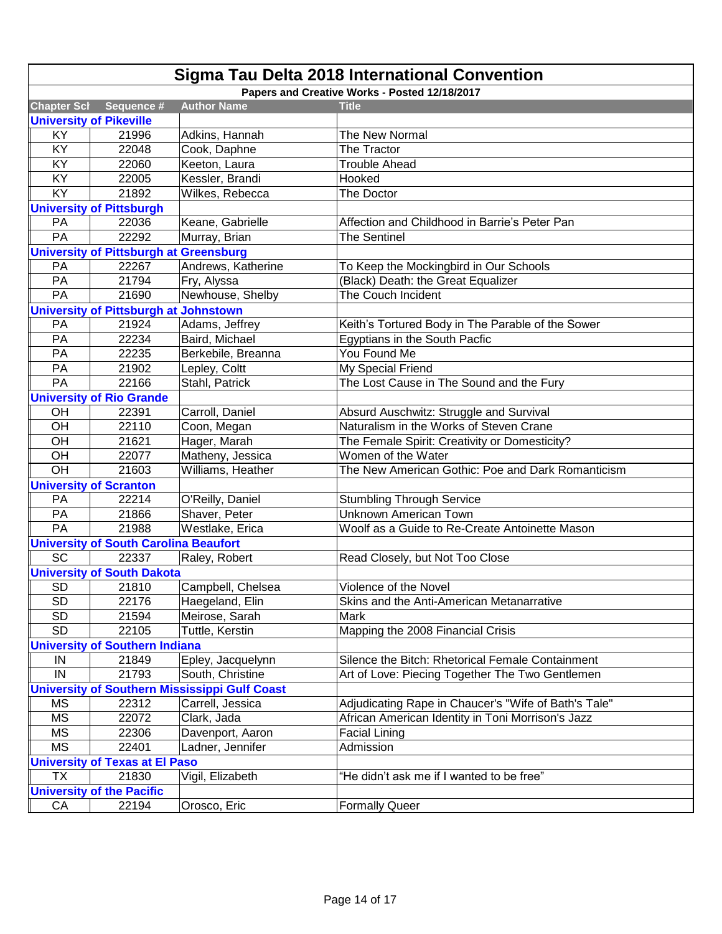| Sigma Tau Delta 2018 International Convention |                                               |                                                      |                                                      |
|-----------------------------------------------|-----------------------------------------------|------------------------------------------------------|------------------------------------------------------|
|                                               |                                               |                                                      | Papers and Creative Works - Posted 12/18/2017        |
| <b>Chapter Scl</b>                            | Sequence #                                    | <b>Author Name</b>                                   | <b>Title</b>                                         |
|                                               | <b>University of Pikeville</b>                |                                                      |                                                      |
| KY                                            | 21996                                         | Adkins, Hannah                                       | The New Normal                                       |
| KY                                            | 22048                                         | Cook, Daphne                                         | The Tractor                                          |
| KY                                            | 22060                                         | Keeton, Laura                                        | <b>Trouble Ahead</b>                                 |
| KY                                            | 22005                                         | Kessler, Brandi                                      | Hooked                                               |
| KY                                            | 21892                                         | Wilkes, Rebecca                                      | The Doctor                                           |
|                                               | <b>University of Pittsburgh</b>               |                                                      |                                                      |
| PA                                            | 22036                                         | Keane, Gabrielle                                     | Affection and Childhood in Barrie's Peter Pan        |
| PA                                            | 22292                                         | Murray, Brian                                        | <b>The Sentinel</b>                                  |
|                                               | <b>University of Pittsburgh at Greensburg</b> |                                                      |                                                      |
| PA                                            | 22267                                         | Andrews, Katherine                                   | To Keep the Mockingbird in Our Schools               |
| PA                                            | 21794                                         | Fry, Alyssa                                          | (Black) Death: the Great Equalizer                   |
| PA                                            | 21690                                         | Newhouse, Shelby                                     | The Couch Incident                                   |
|                                               | <b>University of Pittsburgh at Johnstown</b>  |                                                      |                                                      |
| PA                                            | 21924                                         | Adams, Jeffrey                                       | Keith's Tortured Body in The Parable of the Sower    |
| PA                                            | 22234                                         | Baird, Michael                                       | Egyptians in the South Pacfic                        |
| PA                                            | 22235                                         | Berkebile, Breanna                                   | You Found Me                                         |
| PA                                            | 21902                                         | Lepley, Coltt                                        | My Special Friend                                    |
| PA                                            | 22166                                         | Stahl, Patrick                                       | The Lost Cause in The Sound and the Fury             |
|                                               | <b>University of Rio Grande</b>               |                                                      |                                                      |
| OH                                            | 22391                                         | Carroll, Daniel                                      | Absurd Auschwitz: Struggle and Survival              |
| OH                                            | 22110                                         | Coon, Megan                                          | Naturalism in the Works of Steven Crane              |
| OH                                            | 21621                                         | Hager, Marah                                         | The Female Spirit: Creativity or Domesticity?        |
| OH                                            | 22077                                         | Matheny, Jessica                                     | Women of the Water                                   |
| OH                                            | 21603                                         | Williams, Heather                                    | The New American Gothic: Poe and Dark Romanticism    |
|                                               | <b>University of Scranton</b>                 |                                                      |                                                      |
| PA                                            | 22214                                         | O'Reilly, Daniel                                     | <b>Stumbling Through Service</b>                     |
| PA                                            | 21866                                         | Shaver, Peter                                        | <b>Unknown American Town</b>                         |
| PA                                            | 21988                                         | Westlake, Erica                                      | Woolf as a Guide to Re-Create Antoinette Mason       |
|                                               | <b>University of South Carolina Beaufort</b>  |                                                      |                                                      |
| <b>SC</b>                                     | 22337                                         | Raley, Robert                                        | Read Closely, but Not Too Close                      |
|                                               | <b>University of South Dakota</b>             |                                                      |                                                      |
| <b>SD</b>                                     | 21810                                         | Campbell, Chelsea                                    | Violence of the Novel                                |
| <b>SD</b>                                     | 22176                                         | Haegeland, Elin                                      | Skins and the Anti-American Metanarrative            |
| SD                                            | 21594                                         | Meirose, Sarah                                       | <b>Mark</b>                                          |
| <b>SD</b>                                     | 22105                                         | Tuttle, Kerstin                                      | Mapping the 2008 Financial Crisis                    |
|                                               | <b>University of Southern Indiana</b>         |                                                      |                                                      |
| IN                                            | 21849                                         | Epley, Jacquelynn                                    | Silence the Bitch: Rhetorical Female Containment     |
| IN                                            | 21793                                         | South, Christine                                     | Art of Love: Piecing Together The Two Gentlemen      |
|                                               |                                               | <b>University of Southern Mississippi Gulf Coast</b> |                                                      |
| <b>MS</b>                                     | 22312                                         | Carrell, Jessica                                     | Adjudicating Rape in Chaucer's "Wife of Bath's Tale" |
| <b>MS</b>                                     | 22072                                         | Clark, Jada                                          | African American Identity in Toni Morrison's Jazz    |
| <b>MS</b>                                     | 22306                                         | Davenport, Aaron                                     | <b>Facial Lining</b>                                 |
| <b>MS</b>                                     | 22401                                         | Ladner, Jennifer                                     | Admission                                            |
|                                               | <b>University of Texas at El Paso</b>         |                                                      |                                                      |
| <b>TX</b>                                     | 21830                                         | Vigil, Elizabeth                                     | "He didn't ask me if I wanted to be free"            |
|                                               | <b>University of the Pacific</b>              |                                                      |                                                      |
| CA                                            | 22194                                         | Orosco, Eric                                         | <b>Formally Queer</b>                                |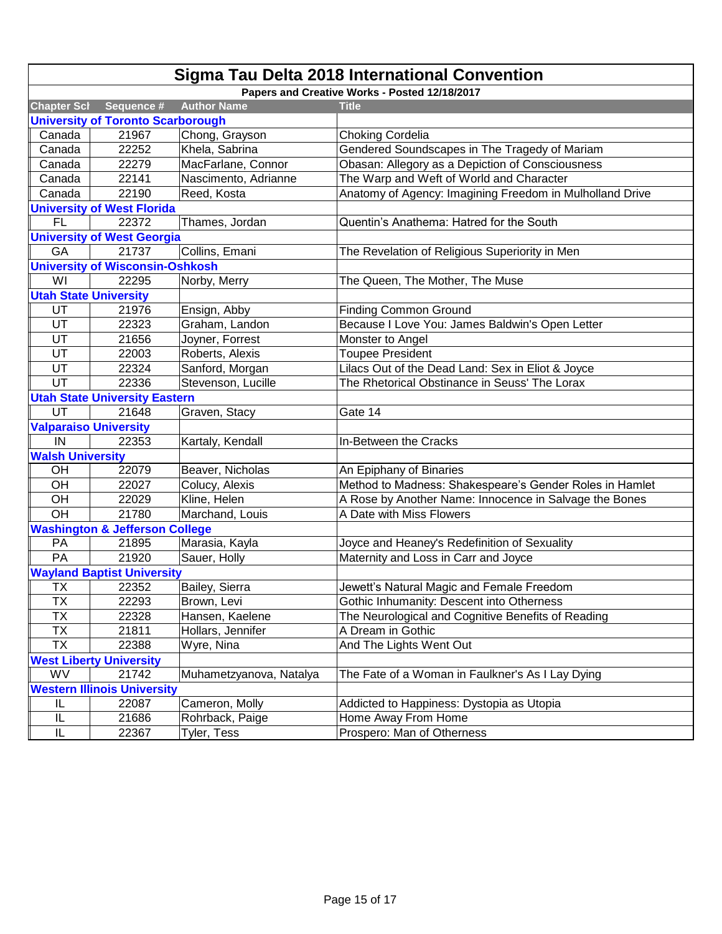| Sigma Tau Delta 2018 International Convention |                                           |                         |                                                          |  |
|-----------------------------------------------|-------------------------------------------|-------------------------|----------------------------------------------------------|--|
| Papers and Creative Works - Posted 12/18/2017 |                                           |                         |                                                          |  |
| <b>Chapter Scl</b>                            | Sequence #                                | <b>Author Name</b>      | <b>Title</b>                                             |  |
|                                               | <b>University of Toronto Scarborough</b>  |                         |                                                          |  |
| Canada                                        | 21967                                     | Chong, Grayson          | Choking Cordelia                                         |  |
| Canada                                        | 22252                                     | Khela, Sabrina          | Gendered Soundscapes in The Tragedy of Mariam            |  |
| Canada                                        | 22279                                     | MacFarlane, Connor      | Obasan: Allegory as a Depiction of Consciousness         |  |
| Canada                                        | 22141                                     | Nascimento, Adrianne    | The Warp and Weft of World and Character                 |  |
| Canada                                        | 22190                                     | Reed, Kosta             | Anatomy of Agency: Imagining Freedom in Mulholland Drive |  |
|                                               | <b>University of West Florida</b>         |                         |                                                          |  |
| FL                                            | 22372                                     | Thames, Jordan          | Quentin's Anathema: Hatred for the South                 |  |
|                                               | <b>University of West Georgia</b>         |                         |                                                          |  |
| GA                                            | 21737                                     | Collins, Emani          | The Revelation of Religious Superiority in Men           |  |
|                                               | <b>University of Wisconsin-Oshkosh</b>    |                         |                                                          |  |
| WI                                            | 22295                                     | Norby, Merry            | The Queen, The Mother, The Muse                          |  |
| <b>Utah State University</b>                  |                                           |                         |                                                          |  |
| UT                                            | 21976                                     | Ensign, Abby            | <b>Finding Common Ground</b>                             |  |
| UT                                            | 22323                                     | Graham, Landon          | Because I Love You: James Baldwin's Open Letter          |  |
| UT                                            | 21656                                     | Joyner, Forrest         | Monster to Angel                                         |  |
| UT                                            | 22003                                     | Roberts, Alexis         | <b>Toupee President</b>                                  |  |
| UT                                            | 22324                                     | Sanford, Morgan         | Lilacs Out of the Dead Land: Sex in Eliot & Joyce        |  |
| UT                                            | 22336                                     | Stevenson, Lucille      | The Rhetorical Obstinance in Seuss' The Lorax            |  |
|                                               | <b>Utah State University Eastern</b>      |                         |                                                          |  |
| UT                                            | 21648                                     | Graven, Stacy           | Gate 14                                                  |  |
|                                               | <b>Valparaiso University</b>              |                         |                                                          |  |
| IN                                            | 22353                                     | Kartaly, Kendall        | In-Between the Cracks                                    |  |
| <b>Walsh University</b>                       |                                           |                         |                                                          |  |
| OH                                            | 22079                                     | Beaver, Nicholas        | An Epiphany of Binaries                                  |  |
| OH                                            | 22027                                     | Colucy, Alexis          | Method to Madness: Shakespeare's Gender Roles in Hamlet  |  |
| OH                                            | 22029                                     | Kline, Helen            | A Rose by Another Name: Innocence in Salvage the Bones   |  |
| OH                                            | 21780                                     | Marchand, Louis         | A Date with Miss Flowers                                 |  |
|                                               | <b>Washington &amp; Jefferson College</b> |                         |                                                          |  |
| PA                                            | 21895                                     | Marasia, Kayla          | Joyce and Heaney's Redefinition of Sexuality             |  |
| PA                                            | 21920                                     | Sauer, Holly            | Maternity and Loss in Carr and Joyce                     |  |
| <b>Wayland Baptist University</b>             |                                           |                         |                                                          |  |
| TX                                            | 22352                                     | Bailey, Sierra          | Jewett's Natural Magic and Female Freedom                |  |
| ТX                                            | 22293                                     | Brown, Levi             | Gothic Inhumanity: Descent into Otherness                |  |
| <b>TX</b>                                     | 22328                                     | Hansen, Kaelene         | The Neurological and Cognitive Benefits of Reading       |  |
| <b>TX</b>                                     | 21811                                     | Hollars, Jennifer       | A Dream in Gothic                                        |  |
| <b>TX</b>                                     | 22388                                     | Wyre, Nina              | And The Lights Went Out                                  |  |
| <b>West Liberty University</b>                |                                           |                         |                                                          |  |
| WV                                            | 21742                                     | Muhametzyanova, Natalya | The Fate of a Woman in Faulkner's As I Lay Dying         |  |
|                                               | <b>Western Illinois University</b>        |                         |                                                          |  |
| IL                                            | 22087                                     | Cameron, Molly          | Addicted to Happiness: Dystopia as Utopia                |  |
| IL                                            | 21686                                     | Rohrback, Paige         | Home Away From Home                                      |  |
| $\sf IL$                                      | 22367                                     | Tyler, Tess             | Prospero: Man of Otherness                               |  |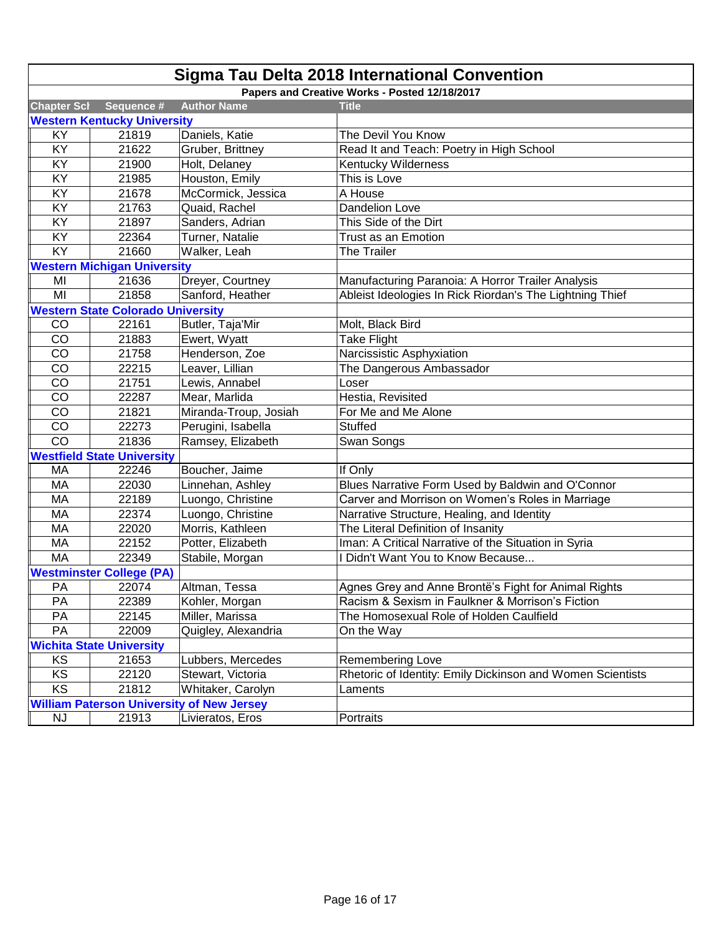| Sigma Tau Delta 2018 International Convention    |                                          |                       |                                                            |  |
|--------------------------------------------------|------------------------------------------|-----------------------|------------------------------------------------------------|--|
| Papers and Creative Works - Posted 12/18/2017    |                                          |                       |                                                            |  |
| <b>Chapter Scl</b>                               | Sequence #                               | <b>Author Name</b>    | <b>Title</b>                                               |  |
|                                                  | <b>Western Kentucky University</b>       |                       |                                                            |  |
| KY                                               | 21819                                    | Daniels, Katie        | The Devil You Know                                         |  |
| KY                                               | 21622                                    | Gruber, Brittney      | Read It and Teach: Poetry in High School                   |  |
| KY                                               | 21900                                    | Holt, Delaney         | <b>Kentucky Wilderness</b>                                 |  |
| KY                                               | 21985                                    | Houston, Emily        | This is Love                                               |  |
| KY                                               | 21678                                    | McCormick, Jessica    | A House                                                    |  |
| KY                                               | 21763                                    | Quaid, Rachel         | <b>Dandelion Love</b>                                      |  |
| KY                                               | 21897                                    | Sanders, Adrian       | This Side of the Dirt                                      |  |
| KY                                               | 22364                                    | Turner, Natalie       | Trust as an Emotion                                        |  |
| <b>KY</b>                                        | 21660                                    | Walker, Leah          | The Trailer                                                |  |
|                                                  | <b>Western Michigan University</b>       |                       |                                                            |  |
| MI                                               | 21636                                    | Dreyer, Courtney      | Manufacturing Paranoia: A Horror Trailer Analysis          |  |
| MI                                               | 21858                                    | Sanford, Heather      | Ableist Ideologies In Rick Riordan's The Lightning Thief   |  |
|                                                  | <b>Western State Colorado University</b> |                       |                                                            |  |
| CO                                               | 22161                                    | Butler, Taja'Mir      | Molt, Black Bird                                           |  |
| CO                                               | 21883                                    | Ewert, Wyatt          | <b>Take Flight</b>                                         |  |
| CO                                               | 21758                                    | Henderson, Zoe        | Narcissistic Asphyxiation                                  |  |
| CO                                               | 22215                                    | Leaver, Lillian       | The Dangerous Ambassador                                   |  |
| CO                                               | 21751                                    | Lewis, Annabel        | Loser                                                      |  |
| CO                                               | 22287                                    | Mear, Marlida         | Hestia, Revisited                                          |  |
| CO                                               | 21821                                    | Miranda-Troup, Josiah | For Me and Me Alone                                        |  |
| CO                                               | 22273                                    | Perugini, Isabella    | <b>Stuffed</b>                                             |  |
| CO                                               | 21836                                    | Ramsey, Elizabeth     | Swan Songs                                                 |  |
|                                                  | <b>Westfield State University</b>        |                       |                                                            |  |
| МA                                               | 22246                                    | Boucher, Jaime        | If Only                                                    |  |
| MA                                               | 22030                                    | Linnehan, Ashley      | Blues Narrative Form Used by Baldwin and O'Connor          |  |
| MA                                               | 22189                                    | Luongo, Christine     | Carver and Morrison on Women's Roles in Marriage           |  |
| MA                                               | 22374                                    | Luongo, Christine     | Narrative Structure, Healing, and Identity                 |  |
| MA                                               | 22020                                    | Morris, Kathleen      | The Literal Definition of Insanity                         |  |
| MA                                               | 22152                                    | Potter, Elizabeth     | Iman: A Critical Narrative of the Situation in Syria       |  |
| MA                                               | 22349                                    | Stabile, Morgan       | I Didn't Want You to Know Because                          |  |
|                                                  | <b>Westminster College (PA)</b>          |                       |                                                            |  |
| PA                                               | 22074                                    | Altman, Tessa         | Agnes Grey and Anne Brontë's Fight for Animal Rights       |  |
| PA                                               | 22389                                    | Kohler, Morgan        | Racism & Sexism in Faulkner & Morrison's Fiction           |  |
| PA                                               | 22145                                    | Miller, Marissa       | The Homosexual Role of Holden Caulfield                    |  |
| PA                                               | 22009                                    | Quigley, Alexandria   | On the Way                                                 |  |
| <b>Wichita State University</b>                  |                                          |                       |                                                            |  |
| KS                                               | 21653                                    | Lubbers, Mercedes     | Remembering Love                                           |  |
| KS                                               | 22120                                    | Stewart, Victoria     | Rhetoric of Identity: Emily Dickinson and Women Scientists |  |
| KS                                               | 21812                                    | Whitaker, Carolyn     | Laments                                                    |  |
| <b>William Paterson University of New Jersey</b> |                                          |                       |                                                            |  |
| <b>NJ</b>                                        | 21913                                    | Livieratos, Eros      | Portraits                                                  |  |